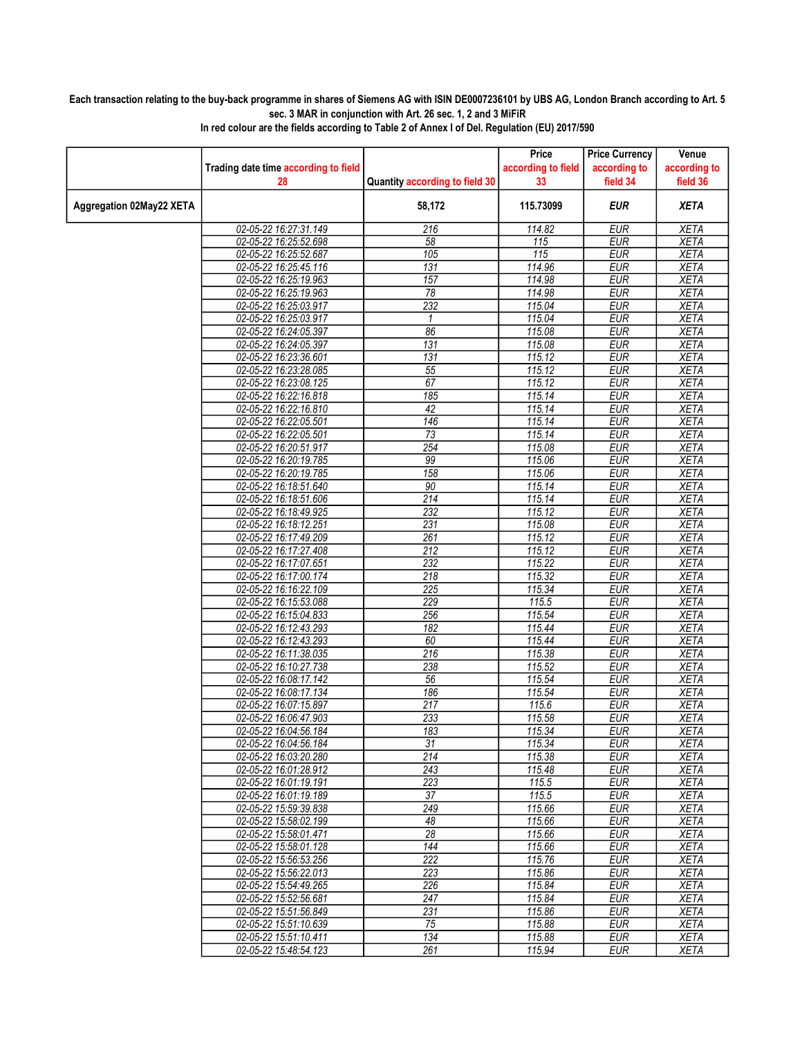## Each transaction relating to the buy-back programme in shares of Siemens AG with ISIN DE0007236101 by UBS AG, London Branch according to Art. 5 sec. 3 MAR in conjunction with Art. 26 sec. 1, 2 and 3 MiFiR

|                          |                                      |                                | Price              | <b>Price Currency</b> | Venue        |
|--------------------------|--------------------------------------|--------------------------------|--------------------|-----------------------|--------------|
|                          | Trading date time according to field |                                | according to field | according to          | according to |
|                          | 28                                   | Quantity according to field 30 | 33                 | field 34              | field 36     |
| Aggregation 02May22 XETA |                                      | 58,172                         | 115.73099          | <b>EUR</b>            | <b>XETA</b>  |
|                          | 02-05-22 16:27:31.149                | 216                            | 114.82             | <b>EUR</b>            | <b>XETA</b>  |
|                          | 02-05-22 16:25:52.698                | 58                             | 115                | <b>EUR</b>            | <b>XETA</b>  |
|                          | 02-05-22 16:25:52.687                | 105                            | 115                | <b>EUR</b>            | <b>XETA</b>  |
|                          | 02-05-22 16:25:45.116                | 131                            | 114.96             | <b>EUR</b>            | <b>XETA</b>  |
|                          | 02-05-22 16:25:19.963                | 157                            | 114.98             | <b>EUR</b>            | <b>XETA</b>  |
|                          | 02-05-22 16:25:19.963                | 78                             | 114.98             | EUR                   | <b>XETA</b>  |
|                          | 02-05-22 16:25:03.917                | 232                            | 115.04             | <b>EUR</b>            | <b>XETA</b>  |
|                          | 02-05-22 16:25:03.917                | 1                              | 115.04             | <b>EUR</b>            | <b>XETA</b>  |
|                          | 02-05-22 16:24:05.397                | 86                             | 115.08             | <b>EUR</b>            | <b>XETA</b>  |
|                          | 02-05-22 16:24:05.397                | 131                            | 115.08             | <b>EUR</b>            | <b>XETA</b>  |
|                          | 02-05-22 16:23:36.601                | 131                            | 115.12             | <b>EUR</b>            | <b>XETA</b>  |
|                          | 02-05-22 16:23:28.085                | 55                             | 115.12             | <b>EUR</b>            | <b>XETA</b>  |
|                          | 02-05-22 16:23:08.125                | 67                             | 115.12             | <b>EUR</b>            | <b>XETA</b>  |
|                          | 02-05-22 16:22:16.818                | 185                            | 115.14             | <b>EUR</b>            | <b>XETA</b>  |
|                          | 02-05-22 16:22:16.810                | 42                             | 115.14             | <b>EUR</b>            | <b>XETA</b>  |
|                          | 02-05-22 16:22:05.501                | 146                            | 115.14             | <b>EUR</b>            | <b>XETA</b>  |
|                          | 02-05-22 16:22:05.501                | 73                             | 115.14             | <b>EUR</b>            | <b>XETA</b>  |
|                          | 02-05-22 16:20:51.917                | 254                            | 115.08             | <b>EUR</b>            | <b>XETA</b>  |
|                          | 02-05-22 16:20:19.785                | 99                             | 115.06             | <b>EUR</b>            | <b>XETA</b>  |
|                          | 02-05-22 16:20:19.785                | 158                            | 115.06             | EUR                   | <b>XETA</b>  |
|                          | 02-05-22 16:18:51.640                | 90                             | 115.14             | <b>EUR</b>            | <b>XETA</b>  |
|                          | 02-05-22 16:18:51.606                | 214                            | 115.14             | <b>EUR</b>            | <b>XETA</b>  |
|                          | 02-05-22 16:18:49.925                | 232                            | 115.12             | <b>EUR</b>            | <b>XETA</b>  |
|                          | 02-05-22 16:18:12.251                | 231                            | 115.08             | <b>EUR</b>            | <b>XETA</b>  |
|                          | 02-05-22 16:17:49.209                | 261                            | 115.12             | <b>EUR</b>            | <b>XETA</b>  |
|                          | 02-05-22 16:17:27.408                | $\overline{212}$               | 115.12             | <b>EUR</b>            | <b>XETA</b>  |
|                          | 02-05-22 16:17:07.651                | 232                            | 115.22             | <b>EUR</b>            | <b>XETA</b>  |
|                          | 02-05-22 16:17:00.174                | 218                            | 115.32             | <b>EUR</b>            | <b>XETA</b>  |
|                          | 02-05-22 16:16:22.109                | 225                            | 115.34             | <b>EUR</b>            | <b>XETA</b>  |
|                          | 02-05-22 16:15:53.088                | 229                            | 115.5              | <b>EUR</b>            | <b>XETA</b>  |
|                          | 02-05-22 16:15:04.833                | 256                            | 115.54             | EUR                   | <b>XETA</b>  |
|                          | 02-05-22 16:12:43.293                | 182                            | 115.44             | <b>EUR</b>            | <b>XETA</b>  |
|                          | 02-05-22 16:12:43.293                | 60                             | 115.44             | <b>EUR</b>            | <b>XETA</b>  |
|                          | 02-05-22 16:11:38.035                | $\overline{216}$               | 115.38             | <b>EUR</b>            | <b>XETA</b>  |
|                          | 02-05-22 16:10:27.738                | 238                            | 115.52             | <b>EUR</b>            | <b>XETA</b>  |
|                          | 02-05-22 16:08:17.142                | 56                             | 115.54             | <b>EUR</b>            | <b>XETA</b>  |
|                          | 02-05-22 16:08:17.134                | 186                            | 115.54             | <b>EUR</b>            | <b>XETA</b>  |
|                          | 02-05-22 16:07:15.897                | 217                            | 115.6              | <b>EUR</b>            | <b>XETA</b>  |
|                          | 02-05-22 16:06:47.903                | 233                            | 115.58             | <b>EUR</b>            | <b>XETA</b>  |
|                          | 02-05-22 16:04:56.184                | 183                            | 115.34             | <b>EUR</b>            | <b>XETA</b>  |
|                          | 02-05-22 16:04:56.184                | 31                             | 115.34             | EUR                   | XETA         |
|                          | 02-05-22 16:03:20.280                | 214                            | 115.38             | <b>EUR</b>            | <b>XETA</b>  |
|                          | 02-05-22 16:01:28.912                | 243                            | 115.48             | <b>EUR</b>            | <b>XETA</b>  |
|                          | 02-05-22 16:01:19.191                | 223                            | 115.5              | <b>EUR</b>            | <b>XETA</b>  |
|                          | 02-05-22 16:01:19.189                | 37                             | 115.5              | <b>EUR</b>            | <b>XETA</b>  |
|                          | 02-05-22 15:59:39.838                | 249                            | 115.66             | <b>EUR</b>            | XETA         |
|                          | 02-05-22 15:58:02.199                | 48                             | 115.66             | <b>EUR</b>            | <b>XETA</b>  |
|                          | 02-05-22 15:58:01.471                | 28                             | 115.66             | EUR                   | <b>XETA</b>  |
|                          | 02-05-22 15:58:01.128                | 144                            | 115.66             | <b>EUR</b>            | <b>XETA</b>  |
|                          | 02-05-22 15:56:53.256                | 222                            | 115.76             | <b>EUR</b>            | <b>XETA</b>  |
|                          | 02-05-22 15:56:22.013                | 223                            | 115.86             | <b>EUR</b>            | <b>XETA</b>  |
|                          | 02-05-22 15:54:49.265                | 226                            | 115.84             | <b>EUR</b>            | XETA         |
|                          | 02-05-22 15:52:56.681                | 247                            | 115.84             | <b>EUR</b>            | <b>XETA</b>  |
|                          | 02-05-22 15:51:56.849                | 231                            | 115.86             | <b>EUR</b>            | <b>XETA</b>  |
|                          | 02-05-22 15:51:10.639                | 75                             | 115.88             | <b>EUR</b>            | <b>XETA</b>  |
|                          | 02-05-22 15:51:10.411                | 134                            | 115.88             | <b>EUR</b>            | <b>XETA</b>  |
|                          | 02-05-22 15:48:54.123                | 261                            | 115.94             | EUR                   | <b>XETA</b>  |
|                          |                                      |                                |                    |                       |              |

In red colour are the fields according to Table 2 of Annex I of Del. Regulation (EU) 2017/590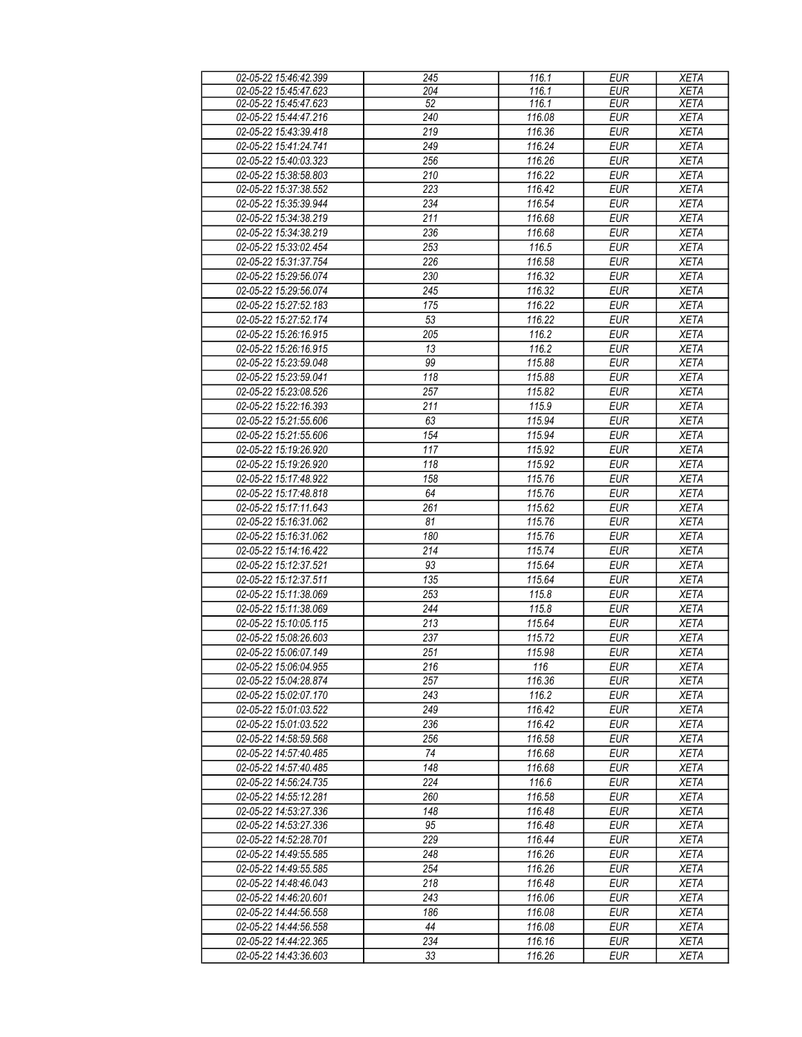| 02-05-22 15:46:42.399 | 245              | 116.1  | <b>EUR</b> | <b>XETA</b> |
|-----------------------|------------------|--------|------------|-------------|
| 02-05-22 15:45:47.623 | 204              | 116.1  | EUR        | <b>XETA</b> |
| 02-05-22 15:45:47.623 | 52               | 116.1  | <b>EUR</b> | <b>XETA</b> |
| 02-05-22 15:44:47.216 | 240              | 116.08 | <b>EUR</b> | <b>XETA</b> |
| 02-05-22 15:43:39.418 | $\overline{219}$ | 116.36 | <b>EUR</b> | <b>XETA</b> |
| 02-05-22 15:41:24.741 | 249              | 116.24 | <b>EUR</b> | <b>XETA</b> |
| 02-05-22 15:40:03.323 | 256              | 116.26 | <b>EUR</b> | <b>XETA</b> |
|                       |                  |        |            |             |
| 02-05-22 15:38:58.803 | 210              | 116.22 | <b>EUR</b> | <b>XETA</b> |
| 02-05-22 15:37:38.552 | 223              | 116.42 | <b>EUR</b> | <b>XETA</b> |
| 02-05-22 15:35:39.944 | 234              | 116.54 | <b>EUR</b> | <b>XETA</b> |
| 02-05-22 15:34:38.219 | 211              | 116.68 | <b>EUR</b> | <b>XETA</b> |
| 02-05-22 15:34:38.219 | 236              | 116.68 | <b>EUR</b> | <b>XETA</b> |
| 02-05-22 15:33:02.454 | 253              | 116.5  | <b>EUR</b> | <b>XETA</b> |
| 02-05-22 15:31:37.754 | 226              | 116.58 | <b>EUR</b> | <b>XETA</b> |
| 02-05-22 15:29:56.074 | 230              | 116.32 | <b>EUR</b> | <b>XETA</b> |
| 02-05-22 15:29:56.074 | 245              | 116.32 | <b>EUR</b> | <b>XETA</b> |
| 02-05-22 15:27:52.183 | 175              | 116.22 | <b>EUR</b> | <b>XETA</b> |
| 02-05-22 15:27:52.174 | 53               | 116.22 | <b>EUR</b> | <b>XETA</b> |
| 02-05-22 15:26:16.915 | 205              | 116.2  | <b>EUR</b> | <b>XETA</b> |
| 02-05-22 15:26:16.915 | 13               | 116.2  | <b>EUR</b> | <b>XETA</b> |
| 02-05-22 15:23:59.048 | 99               | 115.88 | <b>EUR</b> | <b>XETA</b> |
| 02-05-22 15:23:59.041 | 118              | 115.88 | <b>EUR</b> | <b>XETA</b> |
|                       |                  |        |            |             |
| 02-05-22 15:23:08.526 | 257              | 115.82 | <b>EUR</b> | <b>XETA</b> |
| 02-05-22 15:22:16.393 | 211              | 115.9  | <b>EUR</b> | <b>XETA</b> |
| 02-05-22 15:21:55.606 | 63               | 115.94 | <b>EUR</b> | <b>XETA</b> |
| 02-05-22 15:21:55.606 | 154              | 115.94 | <b>EUR</b> | <b>XETA</b> |
| 02-05-22 15:19:26.920 | 117              | 115.92 | <b>EUR</b> | <b>XETA</b> |
| 02-05-22 15:19:26.920 | 118              | 115.92 | <b>EUR</b> | <b>XETA</b> |
| 02-05-22 15:17:48.922 | 158              | 115.76 | <b>EUR</b> | <b>XETA</b> |
| 02-05-22 15:17:48.818 | 64               | 115.76 | <b>EUR</b> | <b>XETA</b> |
| 02-05-22 15:17:11.643 | 261              | 115.62 | <b>EUR</b> | <b>XETA</b> |
| 02-05-22 15:16:31.062 | 81               | 115.76 | <b>EUR</b> | <b>XETA</b> |
| 02-05-22 15:16:31.062 | 180              | 115.76 | <b>EUR</b> | <b>XETA</b> |
| 02-05-22 15:14:16.422 | 214              | 115.74 | <b>EUR</b> | <b>XETA</b> |
| 02-05-22 15:12:37.521 | 93               | 115.64 | <b>EUR</b> | <b>XETA</b> |
| 02-05-22 15:12:37.511 | 135              | 115.64 | <b>EUR</b> | <b>XETA</b> |
| 02-05-22 15:11:38.069 | 253              | 115.8  | <b>EUR</b> | <b>XETA</b> |
| 02-05-22 15:11:38.069 | 244              | 115.8  | <b>EUR</b> | <b>XETA</b> |
| 02-05-22 15:10:05.115 | 213              | 115.64 | <b>EUR</b> | <b>XETA</b> |
|                       |                  |        |            |             |
| 02-05-22 15:08:26.603 | 237              | 115.72 | <b>EUR</b> | <b>XETA</b> |
| 02-05-22 15:06:07.149 | 251              | 115.98 | EUR        | <b>XETA</b> |
| 02-05-22 15:06:04.955 | 216              | 116    | <b>EUR</b> | XETA        |
| 02-05-22 15:04:28.874 | 257              | 116.36 | EUR        | <b>XETA</b> |
| 02-05-22 15:02:07.170 | 243              | 116.2  | <b>EUR</b> | <b>XETA</b> |
| 02-05-22 15:01:03.522 | 249              | 116.42 | <b>EUR</b> | <b>XETA</b> |
| 02-05-22 15:01:03.522 | 236              | 116.42 | <b>EUR</b> | <b>XETA</b> |
| 02-05-22 14:58:59.568 | 256              | 116.58 | <b>EUR</b> | <b>XETA</b> |
| 02-05-22 14:57:40.485 | 74               | 116.68 | <b>EUR</b> | <b>XETA</b> |
| 02-05-22 14:57:40.485 | 148              | 116.68 | <b>EUR</b> | <b>XETA</b> |
| 02-05-22 14:56:24.735 | 224              | 116.6  | <b>EUR</b> | <b>XETA</b> |
| 02-05-22 14:55:12.281 | 260              | 116.58 | <b>EUR</b> | <b>XETA</b> |
| 02-05-22 14:53:27.336 | 148              | 116.48 | <b>EUR</b> | <b>XETA</b> |
| 02-05-22 14:53:27.336 | 95               | 116.48 | <b>EUR</b> | <b>XETA</b> |
| 02-05-22 14:52:28.701 | 229              | 116.44 | <b>EUR</b> | <b>XETA</b> |
| 02-05-22 14:49:55.585 | 248              | 116.26 | <b>EUR</b> | <b>XETA</b> |
| 02-05-22 14:49:55.585 | 254              | 116.26 | <b>EUR</b> | <b>XETA</b> |
| 02-05-22 14:48:46.043 | 218              | 116.48 | <b>EUR</b> | <b>XETA</b> |
| 02-05-22 14:46:20.601 | 243              | 116.06 | <b>EUR</b> | <b>XETA</b> |
|                       |                  |        |            |             |
| 02-05-22 14:44:56.558 | 186              | 116.08 | <b>EUR</b> | <b>XETA</b> |
| 02-05-22 14:44:56.558 | 44               | 116.08 | <b>EUR</b> | <b>XETA</b> |
| 02-05-22 14:44:22.365 | 234              | 116.16 | <b>EUR</b> | <b>XETA</b> |
| 02-05-22 14:43:36.603 | 33               | 116.26 | <b>EUR</b> | <b>XETA</b> |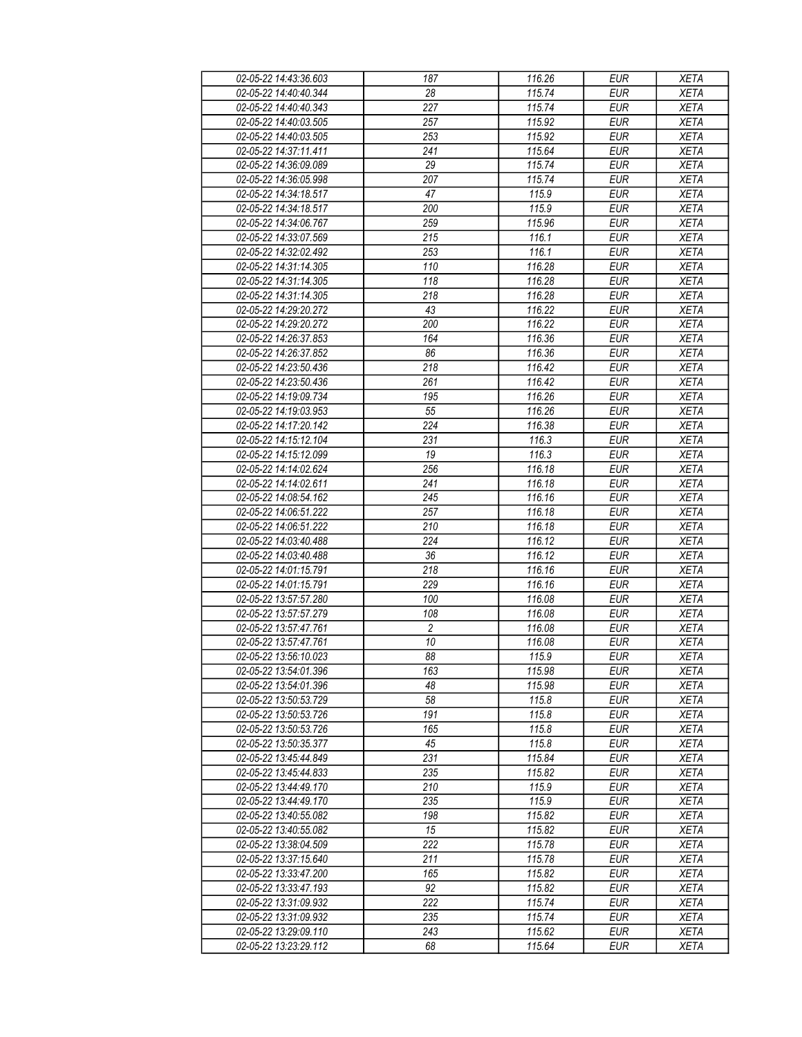| 02-05-22 14:43:36.603                          | 187             | 116.26           | <b>EUR</b>               | <b>XETA</b>                |
|------------------------------------------------|-----------------|------------------|--------------------------|----------------------------|
| 02-05-22 14:40:40.344                          | 28              | 115.74           | <b>EUR</b>               | <b>XETA</b>                |
| 02-05-22 14:40:40.343                          | 227             | 115.74           | <b>EUR</b>               | <b>XETA</b>                |
| 02-05-22 14:40:03.505                          | 257             | 115.92           | <b>EUR</b>               | <b>XETA</b>                |
| 02-05-22 14:40:03.505                          | 253             | 115.92           | <b>EUR</b>               | <b>XETA</b>                |
| 02-05-22 14:37:11.411                          | 241             | 115.64           | <b>EUR</b>               | <b>XETA</b>                |
| 02-05-22 14:36:09.089                          | 29              | 115.74           | <b>EUR</b>               | <b>XETA</b>                |
| 02-05-22 14:36:05.998                          | 207             | 115.74           | <b>EUR</b>               | <b>XETA</b>                |
| 02-05-22 14:34:18.517                          | 47              | 115.9            | <b>EUR</b>               | <b>XETA</b>                |
| 02-05-22 14:34:18.517                          | 200             | 115.9            | <b>EUR</b>               | <b>XETA</b>                |
| 02-05-22 14:34:06.767                          | 259             | 115.96           | <b>EUR</b>               | <b>XETA</b>                |
| 02-05-22 14:33:07.569                          | 215             | 116.1            | <b>EUR</b>               | <b>XETA</b>                |
| 02-05-22 14:32:02.492                          | 253             | 116.1            | <b>EUR</b>               | <b>XETA</b>                |
| 02-05-22 14:31:14.305                          | 110             | 116.28           | <b>EUR</b>               | <b>XETA</b>                |
| 02-05-22 14:31:14.305                          | 118             | 116.28           | <b>EUR</b>               | <b>XETA</b>                |
| 02-05-22 14:31:14.305                          | 218             | 116.28           | <b>EUR</b>               | <b>XETA</b>                |
| 02-05-22 14:29:20.272                          | 43              | 116.22           | <b>EUR</b>               | <b>XETA</b>                |
| 02-05-22 14:29:20.272                          | 200             | 116.22           | <b>EUR</b>               | <b>XETA</b>                |
| 02-05-22 14:26:37.853                          | 164             | 116.36           | <b>EUR</b>               | <b>XETA</b>                |
| 02-05-22 14:26:37.852                          | 86              | 116.36           | <b>EUR</b>               | <b>XETA</b>                |
| 02-05-22 14:23:50.436                          | 218             | 116.42           | <b>EUR</b>               | <b>XETA</b>                |
| 02-05-22 14:23:50.436                          | 261             | 116.42           | <b>EUR</b>               | <b>XETA</b>                |
| 02-05-22 14:19:09.734                          | 195             | 116.26           | <b>EUR</b>               | <b>XETA</b>                |
| 02-05-22 14:19:03.953                          | 55              | 116.26           | <b>EUR</b>               | <b>XETA</b>                |
| 02-05-22 14:17:20.142                          | 224             | 116.38           | <b>EUR</b>               | <b>XETA</b>                |
|                                                | 231             | 116.3            | <b>EUR</b>               | <b>XETA</b>                |
| 02-05-22 14:15:12.104<br>02-05-22 14:15:12.099 | 19              | 116.3            | <b>EUR</b>               |                            |
| 02-05-22 14:14:02.624                          | 256             | 116.18           | <b>EUR</b>               | <b>XETA</b><br><b>XETA</b> |
| 02-05-22 14:14:02.611                          | 241             |                  | EUR                      |                            |
| 02-05-22 14:08:54.162                          | 245             | 116.18<br>116.16 | <b>EUR</b>               | <b>XETA</b><br><b>XETA</b> |
|                                                |                 |                  | <b>EUR</b>               |                            |
| 02-05-22 14:06:51.222<br>02-05-22 14:06:51.222 | 257<br>210      | 116.18<br>116.18 | <b>EUR</b>               | <b>XETA</b><br><b>XETA</b> |
|                                                | 224             |                  | <b>EUR</b>               |                            |
| 02-05-22 14:03:40.488<br>02-05-22 14:03:40.488 | 36              | 116.12<br>116.12 | <b>EUR</b>               | <b>XETA</b><br><b>XETA</b> |
| 02-05-22 14:01:15.791                          | 218             | 116.16           | <b>EUR</b>               | <b>XETA</b>                |
|                                                | 229             |                  |                          |                            |
| 02-05-22 14:01:15.791<br>02-05-22 13:57:57.280 | 100             | 116.16<br>116.08 | <b>EUR</b><br><b>EUR</b> | <b>XETA</b><br><b>XETA</b> |
| 02-05-22 13:57:57.279                          | 108             | 116.08           | <b>EUR</b>               |                            |
| 02-05-22 13:57:47.761                          | 2               | 116.08           | <b>EUR</b>               | <b>XETA</b><br><b>XETA</b> |
| 02-05-22 13:57:47.761                          | $\overline{10}$ | 116.08           | <b>EUR</b>               | <b>XETA</b>                |
| 02-05-22 13:56:10.023                          | 88              | 115.9            | <b>EUR</b>               | <b>XETA</b>                |
| 02-05-22 13:54:01.396                          | 163             | 115.98           | <b>EUR</b>               | <b>XETA</b>                |
| 02-05-22 13:54:01.396                          | 48              | 115.98           | <b>EUR</b>               | <b>XETA</b>                |
| 02-05-22 13:50:53.729                          | 58              | 115.8            | <b>EUR</b>               | <b>XETA</b>                |
| 02-05-22 13:50:53.726                          | 191             | 115.8            | <b>EUR</b>               | <b>XETA</b>                |
| 02-05-22 13:50:53.726                          | 165             | 115.8            | <b>EUR</b>               | <b>XETA</b>                |
| 02-05-22 13:50:35.377                          | 45              | 115.8            | <b>EUR</b>               | <b>XETA</b>                |
| 02-05-22 13:45:44.849                          | 231             | 115.84           | <b>EUR</b>               | <b>XETA</b>                |
| 02-05-22 13:45:44.833                          | 235             | 115.82           | <b>EUR</b>               | <b>XETA</b>                |
| 02-05-22 13:44:49.170                          | 210             | 115.9            | <b>EUR</b>               | <b>XETA</b>                |
| 02-05-22 13:44:49.170                          | 235             | 115.9            | <b>EUR</b>               | <b>XETA</b>                |
| 02-05-22 13:40:55.082                          | 198             | 115.82           | <b>EUR</b>               | <b>XETA</b>                |
| 02-05-22 13:40:55.082                          | 15              | 115.82           | <b>EUR</b>               | <b>XETA</b>                |
| 02-05-22 13:38:04.509                          | 222             | 115.78           | <b>EUR</b>               | <b>XETA</b>                |
| 02-05-22 13:37:15.640                          | 211             | 115.78           | <b>EUR</b>               | <b>XETA</b>                |
| 02-05-22 13:33:47.200                          | 165             | 115.82           | <b>EUR</b>               | <b>XETA</b>                |
| 02-05-22 13:33:47.193                          | 92              | 115.82           | <b>EUR</b>               | <b>XETA</b>                |
| 02-05-22 13:31:09.932                          | 222             | 115.74           | <b>EUR</b>               | <b>XETA</b>                |
| 02-05-22 13:31:09.932                          | 235             | 115.74           | <b>EUR</b>               | <b>XETA</b>                |
| 02-05-22 13:29:09.110                          | 243             | 115.62           | <b>EUR</b>               | <b>XETA</b>                |
| 02-05-22 13:23:29.112                          | 68              | 115.64           | <b>EUR</b>               | <b>XETA</b>                |
|                                                |                 |                  |                          |                            |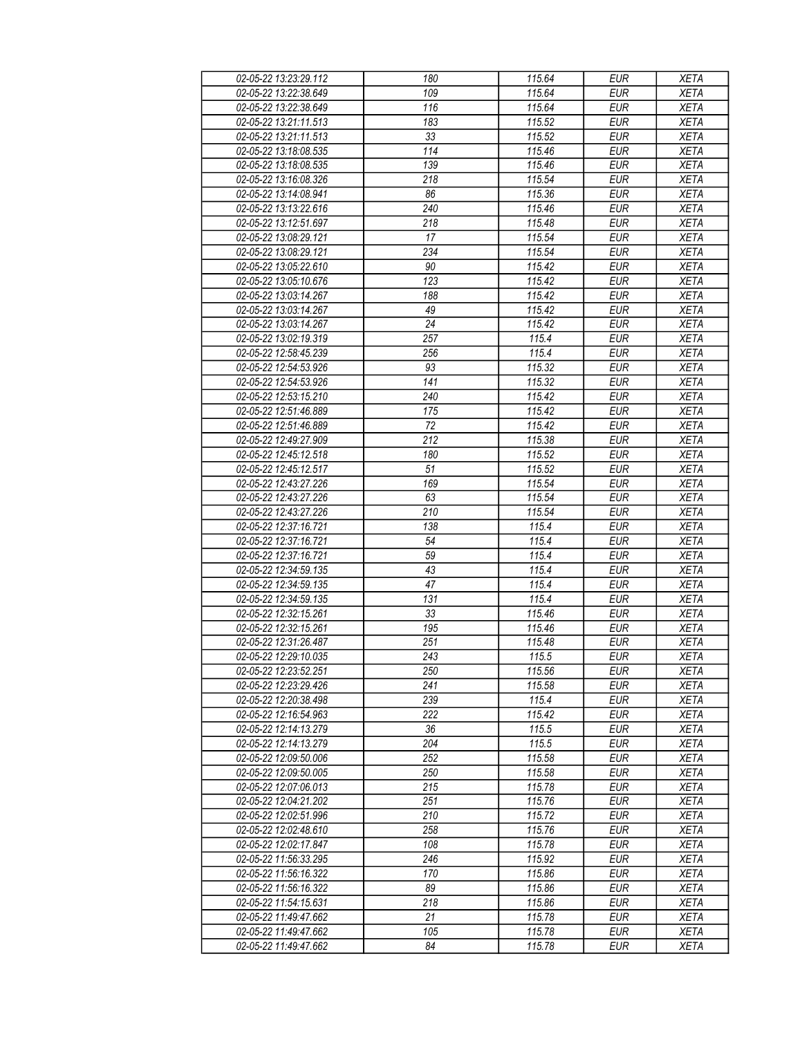| 02-05-22 13:23:29.112 | 180              | 115.64 | <b>EUR</b> | <b>XETA</b> |
|-----------------------|------------------|--------|------------|-------------|
| 02-05-22 13:22:38.649 | 109              | 115.64 | <b>EUR</b> | <b>XETA</b> |
| 02-05-22 13:22:38.649 | 116              | 115.64 | <b>EUR</b> | <b>XETA</b> |
| 02-05-22 13:21:11.513 | 183              | 115.52 | <b>EUR</b> | <b>XETA</b> |
| 02-05-22 13:21:11.513 | 33               | 115.52 | <b>EUR</b> | <b>XETA</b> |
| 02-05-22 13:18:08.535 | 114              | 115.46 | <b>EUR</b> | <b>XETA</b> |
| 02-05-22 13:18:08.535 | 139              | 115.46 | <b>EUR</b> | <b>XETA</b> |
| 02-05-22 13:16:08.326 | $\overline{218}$ | 115.54 | <b>EUR</b> | <b>XETA</b> |
| 02-05-22 13:14:08.941 | 86               | 115.36 | <b>EUR</b> | <b>XETA</b> |
| 02-05-22 13:13:22.616 | 240              | 115.46 | <b>EUR</b> | <b>XETA</b> |
| 02-05-22 13:12:51.697 | 218              | 115.48 | <b>EUR</b> | <b>XETA</b> |
| 02-05-22 13:08:29.121 | 17               | 115.54 | <b>EUR</b> | <b>XETA</b> |
| 02-05-22 13:08:29.121 | 234              | 115.54 | <b>EUR</b> | <b>XETA</b> |
| 02-05-22 13:05:22.610 | 90               | 115.42 | <b>EUR</b> | <b>XETA</b> |
| 02-05-22 13:05:10.676 | $\overline{123}$ | 115.42 | EUR        | <b>XETA</b> |
| 02-05-22 13:03:14.267 | 188              | 115.42 | <b>EUR</b> | <b>XETA</b> |
| 02-05-22 13:03:14.267 | 49               | 115.42 | EUR        | <b>XETA</b> |
| 02-05-22 13:03:14.267 | 24               | 115.42 | <b>EUR</b> | <b>XETA</b> |
| 02-05-22 13:02:19.319 | 257              |        |            |             |
|                       |                  | 115.4  | <b>EUR</b> | <b>XETA</b> |
| 02-05-22 12:58:45.239 | 256              | 115.4  | <b>EUR</b> | <b>XETA</b> |
| 02-05-22 12:54:53.926 | 93               | 115.32 | <b>EUR</b> | <b>XETA</b> |
| 02-05-22 12:54:53.926 | 141              | 115.32 | <b>EUR</b> | <b>XETA</b> |
| 02-05-22 12:53:15.210 | 240              | 115.42 | <b>EUR</b> | <b>XETA</b> |
| 02-05-22 12:51:46.889 | 175              | 115.42 | <b>EUR</b> | <b>XETA</b> |
| 02-05-22 12:51:46.889 | 72               | 115.42 | <b>EUR</b> | <b>XETA</b> |
| 02-05-22 12:49:27.909 | $\overline{212}$ | 115.38 | <b>EUR</b> | <b>XETA</b> |
| 02-05-22 12:45:12.518 | 180              | 115.52 | <b>EUR</b> | <b>XETA</b> |
| 02-05-22 12:45:12.517 | $\overline{51}$  | 115.52 | <b>EUR</b> | <b>XETA</b> |
| 02-05-22 12:43:27.226 | 169              | 115.54 | EUR        | <b>XETA</b> |
| 02-05-22 12:43:27.226 | 63               | 115.54 | <b>EUR</b> | <b>XETA</b> |
| 02-05-22 12:43:27.226 | 210              | 115.54 | <b>EUR</b> | <b>XETA</b> |
| 02-05-22 12:37:16.721 | 138              | 115.4  | <b>EUR</b> | <b>XETA</b> |
| 02-05-22 12:37:16.721 | 54               | 115.4  | <b>EUR</b> | <b>XETA</b> |
| 02-05-22 12:37:16.721 | 59               | 115.4  | <b>EUR</b> | <b>XETA</b> |
| 02-05-22 12:34:59.135 | 43               | 115.4  | <b>EUR</b> | <b>XETA</b> |
| 02-05-22 12:34:59.135 | 47               | 115.4  | <b>EUR</b> | <b>XETA</b> |
| 02-05-22 12:34:59.135 | 131              | 115.4  | <b>EUR</b> | <b>XETA</b> |
| 02-05-22 12:32:15.261 | 33               | 115.46 | <b>EUR</b> | <b>XETA</b> |
| 02-05-22 12:32:15.261 | 195              | 115.46 | <b>EUR</b> | <b>XETA</b> |
| 02-05-22 12:31:26.487 | $\overline{251}$ | 115.48 | <b>EUR</b> | <b>XETA</b> |
| 02-05-22 12:29:10.035 | 243              | 115.5  | <b>EUR</b> | <b>XETA</b> |
| 02-05-22 12:23:52.251 | 250              | 115.56 | <b>EUR</b> | <b>XETA</b> |
| 02-05-22 12:23:29.426 | 241              | 115.58 | <b>EUR</b> | <b>XETA</b> |
| 02-05-22 12:20:38.498 | 239              | 115.4  | <b>EUR</b> | <b>XETA</b> |
| 02-05-22 12:16:54.963 | 222              | 115.42 | <b>EUR</b> | <b>XETA</b> |
| 02-05-22 12:14:13.279 | 36               | 115.5  | <b>EUR</b> | <b>XETA</b> |
| 02-05-22 12:14:13.279 | 204              | 115.5  | <b>EUR</b> | <b>XETA</b> |
| 02-05-22 12:09:50.006 | 252              | 115.58 | <b>EUR</b> | <b>XETA</b> |
| 02-05-22 12:09:50.005 | 250              | 115.58 | <b>EUR</b> | <b>XETA</b> |
| 02-05-22 12:07:06.013 | 215              | 115.78 | <b>EUR</b> | <b>XETA</b> |
| 02-05-22 12:04:21.202 | 251              | 115.76 | <b>EUR</b> | <b>XETA</b> |
| 02-05-22 12:02:51.996 | 210              | 115.72 | <b>EUR</b> | <b>XETA</b> |
| 02-05-22 12:02:48.610 | 258              | 115.76 | <b>EUR</b> | <b>XETA</b> |
| 02-05-22 12:02:17.847 | 108              | 115.78 | <b>EUR</b> | <b>XETA</b> |
| 02-05-22 11:56:33.295 | 246              | 115.92 | <b>EUR</b> | <b>XETA</b> |
| 02-05-22 11:56:16.322 | 170              | 115.86 | <b>EUR</b> | <b>XETA</b> |
| 02-05-22 11:56:16.322 | 89               | 115.86 | <b>EUR</b> | <b>XETA</b> |
| 02-05-22 11:54:15.631 | 218              | 115.86 | <b>EUR</b> | <b>XETA</b> |
| 02-05-22 11:49:47.662 | 21               | 115.78 | <b>EUR</b> | <b>XETA</b> |
| 02-05-22 11:49:47.662 | 105              | 115.78 | <b>EUR</b> | <b>XETA</b> |
| 02-05-22 11:49:47.662 | 84               | 115.78 | <b>EUR</b> | <b>XETA</b> |
|                       |                  |        |            |             |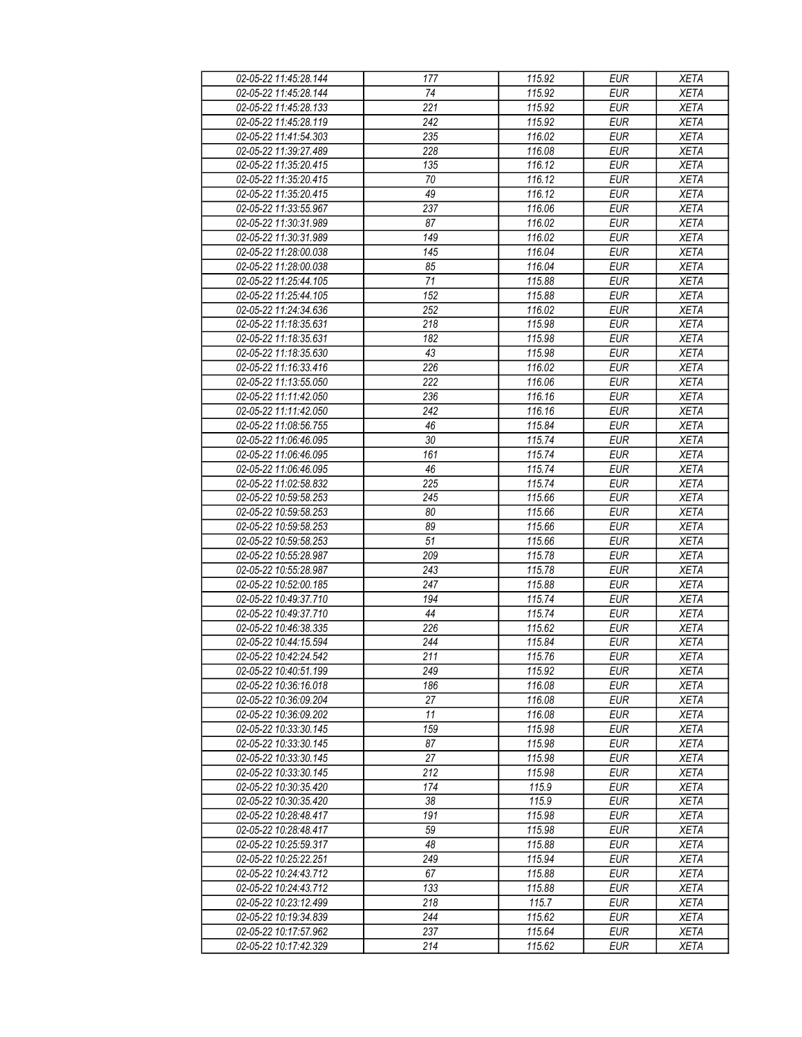| 02-05-22 11:45:28.144 | 177             | 115.92 | <b>EUR</b> | <b>XETA</b> |
|-----------------------|-----------------|--------|------------|-------------|
| 02-05-22 11:45:28.144 | 74              | 115.92 | <b>EUR</b> | <b>XETA</b> |
| 02-05-22 11:45:28.133 | 221             | 115.92 | <b>EUR</b> | <b>XETA</b> |
| 02-05-22 11:45:28.119 | 242             | 115.92 | <b>EUR</b> | <b>XETA</b> |
| 02-05-22 11:41:54.303 | 235             | 116.02 | <b>EUR</b> | <b>XETA</b> |
| 02-05-22 11:39:27.489 | 228             | 116.08 | <b>EUR</b> | <b>XETA</b> |
| 02-05-22 11:35:20.415 | 135             | 116.12 | <b>EUR</b> | <b>XETA</b> |
| 02-05-22 11:35:20.415 | 70              | 116.12 | <b>EUR</b> | <b>XETA</b> |
| 02-05-22 11:35:20.415 | 49              | 116.12 | <b>EUR</b> | <b>XETA</b> |
| 02-05-22 11:33:55.967 | 237             | 116.06 | <b>EUR</b> | <b>XETA</b> |
| 02-05-22 11:30:31.989 | 87              | 116.02 | <b>EUR</b> | <b>XETA</b> |
| 02-05-22 11:30:31.989 | 149             | 116.02 | <b>EUR</b> | <b>XETA</b> |
| 02-05-22 11:28:00.038 | 145             | 116.04 | <b>EUR</b> | <b>XETA</b> |
| 02-05-22 11:28:00.038 | 85              | 116.04 | <b>EUR</b> | <b>XETA</b> |
| 02-05-22 11:25:44.105 | $\overline{71}$ | 115.88 | <b>EUR</b> | <b>XETA</b> |
| 02-05-22 11:25:44.105 | 152             | 115.88 | <b>EUR</b> | <b>XETA</b> |
|                       | 252             |        | <b>EUR</b> |             |
| 02-05-22 11:24:34.636 |                 | 116.02 |            | <b>XETA</b> |
| 02-05-22 11:18:35.631 | 218             | 115.98 | <b>EUR</b> | <b>XETA</b> |
| 02-05-22 11:18:35.631 | 182             | 115.98 | <b>EUR</b> | <b>XETA</b> |
| 02-05-22 11:18:35.630 | 43              | 115.98 | <b>EUR</b> | <b>XETA</b> |
| 02-05-22 11:16:33.416 | 226             | 116.02 | <b>EUR</b> | <b>XETA</b> |
| 02-05-22 11:13:55.050 | 222             | 116.06 | <b>EUR</b> | <b>XETA</b> |
| 02-05-22 11:11:42.050 | 236             | 116.16 | <b>EUR</b> | <b>XETA</b> |
| 02-05-22 11:11:42.050 | 242             | 116.16 | <b>EUR</b> | <b>XETA</b> |
| 02-05-22 11:08:56.755 | 46              | 115.84 | <b>EUR</b> | <b>XETA</b> |
| 02-05-22 11:06:46.095 | 30              | 115.74 | EUR        | <b>XETA</b> |
| 02-05-22 11:06:46.095 | 161             | 115.74 | <b>EUR</b> | <b>XETA</b> |
| 02-05-22 11:06:46.095 | 46              | 115.74 | <b>EUR</b> | <b>XETA</b> |
| 02-05-22 11:02:58.832 | 225             | 115.74 | EUR        | <b>XETA</b> |
| 02-05-22 10:59:58.253 | 245             | 115.66 | <b>EUR</b> | <b>XETA</b> |
| 02-05-22 10:59:58.253 | 80              | 115.66 | <b>EUR</b> | <b>XETA</b> |
| 02-05-22 10:59:58.253 | 89              | 115.66 | <b>EUR</b> | <b>XETA</b> |
| 02-05-22 10:59:58.253 | $\overline{51}$ | 115.66 | <b>EUR</b> | <b>XETA</b> |
| 02-05-22 10:55:28.987 | 209             | 115.78 | <b>EUR</b> | <b>XETA</b> |
| 02-05-22 10:55:28.987 | 243             | 115.78 | <b>EUR</b> | <b>XETA</b> |
| 02-05-22 10:52:00.185 | 247             | 115.88 | <b>EUR</b> | <b>XETA</b> |
| 02-05-22 10:49:37.710 | 194             | 115.74 | <b>EUR</b> | <b>XETA</b> |
| 02-05-22 10:49:37.710 | 44              | 115.74 | <b>EUR</b> | <b>XETA</b> |
| 02-05-22 10:46:38.335 | 226             | 115.62 | <b>EUR</b> | <b>XETA</b> |
| 02-05-22 10:44:15.594 | 244             | 115.84 | <b>EUR</b> | <b>XETA</b> |
| 02-05-22 10:42:24.542 | 211             | 115.76 | <b>EUR</b> | <b>XETA</b> |
| 02-05-22 10:40:51.199 | 249             | 115.92 | <b>EUR</b> | <b>XETA</b> |
| 02-05-22 10:36:16.018 | 186             | 116.08 | <b>EUR</b> | <b>XETA</b> |
| 02-05-22 10:36:09.204 | 27              | 116.08 | <b>EUR</b> | <b>XETA</b> |
| 02-05-22 10:36:09.202 | 11              | 116.08 | <b>EUR</b> | <b>XETA</b> |
| 02-05-22 10:33:30.145 | 159             | 115.98 | <b>EUR</b> | <b>XETA</b> |
| 02-05-22 10:33:30.145 | 87              | 115.98 | <b>EUR</b> | <b>XETA</b> |
| 02-05-22 10:33:30.145 | 27              | 115.98 | <b>EUR</b> | <b>XETA</b> |
| 02-05-22 10:33:30.145 | 212             | 115.98 | <b>EUR</b> | <b>XETA</b> |
| 02-05-22 10:30:35.420 | 174             | 115.9  | <b>EUR</b> | <b>XETA</b> |
| 02-05-22 10:30:35.420 | 38              | 115.9  | <b>EUR</b> | <b>XETA</b> |
| 02-05-22 10:28:48.417 | 191             | 115.98 | <b>EUR</b> | <b>XETA</b> |
| 02-05-22 10:28:48.417 | 59              | 115.98 | <b>EUR</b> | <b>XETA</b> |
| 02-05-22 10:25:59.317 | 48              | 115.88 | <b>EUR</b> | <b>XETA</b> |
| 02-05-22 10:25:22.251 | 249             | 115.94 | <b>EUR</b> | <b>XETA</b> |
| 02-05-22 10:24:43.712 | 67              | 115.88 | <b>EUR</b> | <b>XETA</b> |
| 02-05-22 10:24:43.712 | 133             | 115.88 | <b>EUR</b> | <b>XETA</b> |
| 02-05-22 10:23:12.499 | 218             | 115.7  | <b>EUR</b> | <b>XETA</b> |
| 02-05-22 10:19:34.839 | 244             | 115.62 | <b>EUR</b> | <b>XETA</b> |
| 02-05-22 10:17:57.962 | 237             | 115.64 | <b>EUR</b> | <b>XETA</b> |
| 02-05-22 10:17:42.329 | 214             | 115.62 | <b>EUR</b> | <b>XETA</b> |
|                       |                 |        |            |             |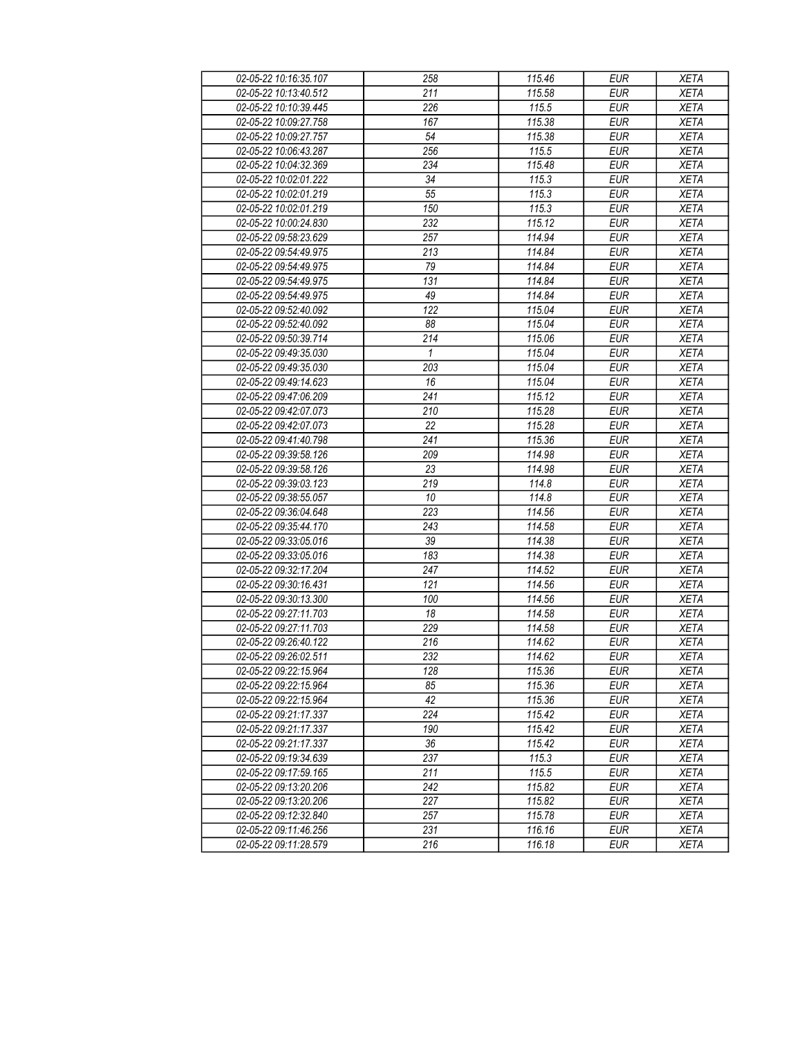| 02-05-22 10:16:35.107 | 258          | 115.46 | <b>EUR</b> | <b>XETA</b> |
|-----------------------|--------------|--------|------------|-------------|
| 02-05-22 10:13:40.512 | 211          | 115.58 | <b>EUR</b> | <b>XETA</b> |
| 02-05-22 10:10:39.445 | 226          | 115.5  | <b>EUR</b> | <b>XETA</b> |
| 02-05-22 10:09:27.758 | 167          | 115.38 | <b>EUR</b> | <b>XETA</b> |
| 02-05-22 10:09:27.757 | 54           | 115.38 | <b>EUR</b> | <b>XETA</b> |
| 02-05-22 10:06:43.287 | 256          | 115.5  | <b>EUR</b> | <b>XETA</b> |
| 02-05-22 10:04:32.369 | 234          | 115.48 | <b>EUR</b> | <b>XETA</b> |
| 02-05-22 10:02:01.222 | 34           | 115.3  | <b>EUR</b> | <b>XETA</b> |
| 02-05-22 10:02:01.219 | 55           | 115.3  | <b>EUR</b> | <b>XETA</b> |
| 02-05-22 10:02:01.219 | 150          | 115.3  | <b>EUR</b> | <b>XETA</b> |
| 02-05-22 10:00:24.830 | 232          | 115.12 | <b>EUR</b> | <b>XETA</b> |
| 02-05-22 09:58:23.629 | 257          | 114.94 | <b>EUR</b> | <b>XETA</b> |
| 02-05-22 09:54:49.975 | 213          | 114.84 | <b>EUR</b> | <b>XETA</b> |
| 02-05-22 09:54:49.975 | 79           | 114.84 | <b>EUR</b> | <b>XETA</b> |
| 02-05-22 09:54:49.975 | 131          | 114.84 | <b>EUR</b> | <b>XETA</b> |
| 02-05-22 09:54:49.975 | 49           | 114.84 | <b>EUR</b> | <b>XETA</b> |
| 02-05-22 09:52:40.092 | 122          | 115.04 | <b>EUR</b> | <b>XETA</b> |
| 02-05-22 09:52:40.092 | 88           | 115.04 | <b>EUR</b> | <b>XETA</b> |
| 02-05-22 09:50:39.714 | 214          | 115.06 | <b>EUR</b> | <b>XETA</b> |
| 02-05-22 09:49:35.030 | $\mathbf{1}$ | 115.04 | <b>EUR</b> | <b>XETA</b> |
| 02-05-22 09:49:35.030 | 203          | 115.04 | <b>EUR</b> | <b>XETA</b> |
| 02-05-22 09:49:14.623 | 16           | 115.04 | <b>EUR</b> | <b>XETA</b> |
| 02-05-22 09:47:06.209 | 241          | 115.12 | <b>EUR</b> | <b>XETA</b> |
| 02-05-22 09:42:07.073 | 210          | 115.28 | <b>EUR</b> | <b>XETA</b> |
| 02-05-22 09:42:07.073 | 22           | 115.28 | <b>EUR</b> | <b>XETA</b> |
| 02-05-22 09:41:40.798 | 241          | 115.36 | <b>EUR</b> | <b>XETA</b> |
| 02-05-22 09:39:58.126 | 209          | 114.98 | <b>EUR</b> | <b>XETA</b> |
| 02-05-22 09:39:58.126 | 23           | 114.98 | <b>EUR</b> | <b>XETA</b> |
| 02-05-22 09:39:03.123 | 219          | 114.8  | <b>EUR</b> | <b>XETA</b> |
| 02-05-22 09:38:55.057 | 10           | 114.8  | <b>EUR</b> | <b>XETA</b> |
| 02-05-22 09:36:04.648 | 223          | 114.56 | <b>EUR</b> | <b>XETA</b> |
| 02-05-22 09:35:44.170 | 243          | 114.58 | <b>EUR</b> | <b>XETA</b> |
| 02-05-22 09:33:05.016 | 39           | 114.38 | <b>EUR</b> | <b>XETA</b> |
| 02-05-22 09:33:05.016 | 183          | 114.38 | <b>EUR</b> | <b>XETA</b> |
| 02-05-22 09:32:17.204 | 247          | 114.52 | <b>EUR</b> | <b>XETA</b> |
| 02-05-22 09:30:16.431 | 121          | 114.56 | <b>EUR</b> | <b>XETA</b> |
| 02-05-22 09:30:13.300 | 100          | 114.56 | <b>EUR</b> | <b>XETA</b> |
| 02-05-22 09:27:11.703 | 18           | 114.58 | <b>EUR</b> | <b>XETA</b> |
| 02-05-22 09:27:11.703 | 229          | 114.58 | <b>EUR</b> | <b>XETA</b> |
| 02-05-22 09:26:40.122 | 216          | 114.62 | <b>EUR</b> | <b>XETA</b> |
| 02-05-22 09:26:02.511 | 232          | 114.62 | <b>EUR</b> | <b>XETA</b> |
| 02-05-22 09:22:15.964 | 128          | 115.36 | <b>EUR</b> | <b>XETA</b> |
| 02-05-22 09:22:15.964 | 85           | 115.36 | <b>EUR</b> | <b>XETA</b> |
| 02-05-22 09:22:15.964 | 42           | 115.36 | <b>EUR</b> | <b>XETA</b> |
| 02-05-22 09:21:17.337 | 224          | 115.42 | <b>EUR</b> | <b>XETA</b> |
| 02-05-22 09:21:17.337 | 190          | 115.42 | <b>EUR</b> | <b>XETA</b> |
| 02-05-22 09:21:17.337 | 36           | 115.42 | <b>EUR</b> | <b>XETA</b> |
| 02-05-22 09:19:34.639 | 237          | 115.3  | <b>EUR</b> | <b>XETA</b> |
| 02-05-22 09:17:59.165 | 211          | 115.5  | <b>EUR</b> | <b>XETA</b> |
| 02-05-22 09:13:20.206 | 242          | 115.82 | <b>EUR</b> | <b>XETA</b> |
| 02-05-22 09:13:20.206 | 227          | 115.82 | <b>EUR</b> | <b>XETA</b> |
| 02-05-22 09:12:32.840 | 257          | 115.78 | <b>EUR</b> | <b>XETA</b> |
| 02-05-22 09:11:46.256 | 231          | 116.16 | <b>EUR</b> | <b>XETA</b> |
| 02-05-22 09:11:28.579 | 216          | 116.18 | <b>EUR</b> | <b>XETA</b> |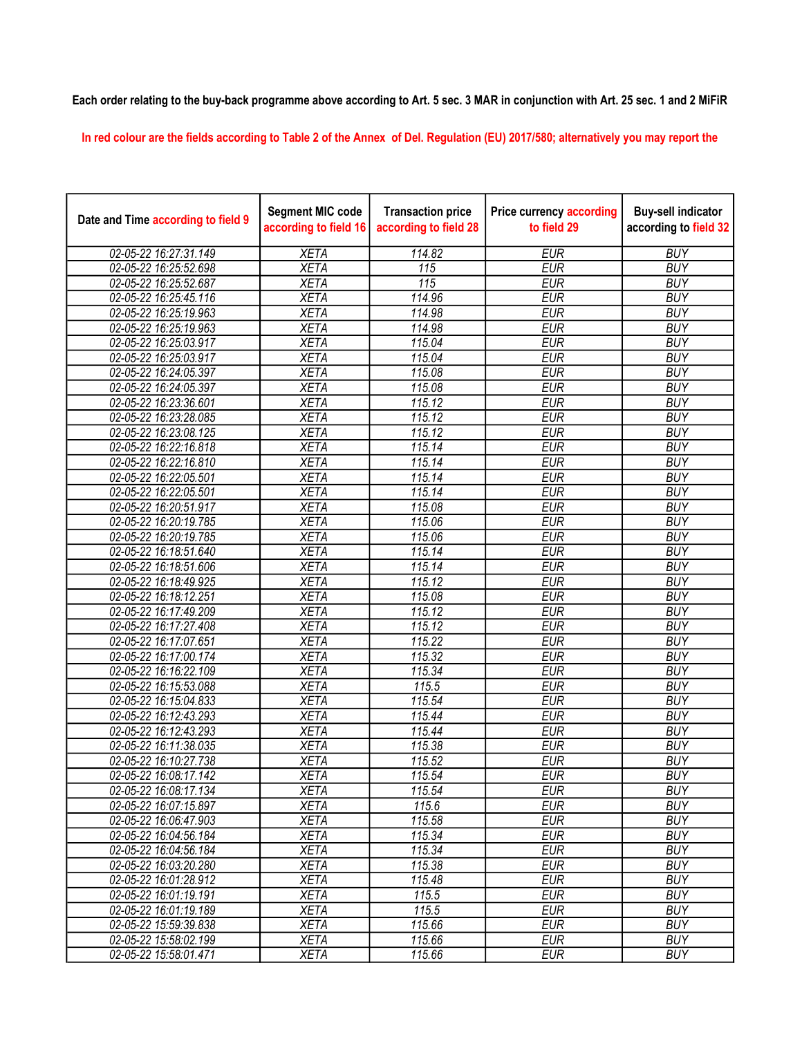## Each order relating to the buy-back programme above according to Art. 5 sec. 3 MAR in conjunction with Art. 25 sec. 1 and 2 MiFiR

In red colour are the fields according to Table 2 of the Annex of Del. Regulation (EU) 2017/580; alternatively you may report the

| Date and Time according to field 9             | <b>Segment MIC code</b><br>according to field 16 | <b>Transaction price</b><br>according to field 28 | <b>Price currency according</b><br>to field 29 | <b>Buy-sell indicator</b><br>according to field 32 |
|------------------------------------------------|--------------------------------------------------|---------------------------------------------------|------------------------------------------------|----------------------------------------------------|
| 02-05-22 16:27:31.149                          | <b>XETA</b>                                      | 114.82                                            | <b>EUR</b>                                     | <b>BUY</b>                                         |
| 02-05-22 16:25:52.698                          | <b>XETA</b>                                      | 115                                               | <b>EUR</b>                                     | <b>BUY</b>                                         |
| 02-05-22 16:25:52.687                          | <b>XETA</b>                                      | $\overline{115}$                                  | <b>EUR</b>                                     | <b>BUY</b>                                         |
| 02-05-22 16:25:45.116                          | <b>XETA</b>                                      | 114.96                                            | <b>EUR</b>                                     | <b>BUY</b>                                         |
| 02-05-22 16:25:19.963                          | <b>XETA</b>                                      | 114.98                                            | <b>EUR</b>                                     | <b>BUY</b>                                         |
| 02-05-22 16:25:19.963                          | <b>XETA</b>                                      | 114.98                                            | <b>EUR</b>                                     | <b>BUY</b>                                         |
| 02-05-22 16:25:03.917                          | <b>XETA</b>                                      | 115.04                                            | <b>EUR</b>                                     | <b>BUY</b>                                         |
| 02-05-22 16:25:03.917                          | <b>XETA</b>                                      | 115.04                                            | <b>EUR</b>                                     | <b>BUY</b>                                         |
| 02-05-22 16:24:05.397                          | <b>XETA</b>                                      | 115.08                                            | <b>EUR</b>                                     | <b>BUY</b>                                         |
| 02-05-22 16:24:05.397                          | <b>XETA</b>                                      | 115.08                                            | <b>EUR</b>                                     | <b>BUY</b>                                         |
| 02-05-22 16:23:36.601                          | <b>XETA</b>                                      | 115.12                                            | <b>EUR</b>                                     | <b>BUY</b>                                         |
| 02-05-22 16:23:28.085                          | <b>XETA</b>                                      | 115.12                                            | <b>EUR</b>                                     | <b>BUY</b>                                         |
| 02-05-22 16:23:08.125                          | <b>XETA</b>                                      | 115.12                                            | <b>EUR</b>                                     | <b>BUY</b>                                         |
| 02-05-22 16:22:16.818                          | <b>XETA</b>                                      | 115.14                                            | <b>EUR</b>                                     | <b>BUY</b>                                         |
| 02-05-22 16:22:16.810                          | <b>XETA</b>                                      | 115.14                                            | <b>EUR</b>                                     | <b>BUY</b>                                         |
| 02-05-22 16:22:05.501                          | <b>XETA</b>                                      | 115.14                                            | <b>EUR</b>                                     | <b>BUY</b>                                         |
| 02-05-22 16:22:05.501                          | <b>XETA</b>                                      | 115.14                                            | <b>EUR</b>                                     | <b>BUY</b>                                         |
| 02-05-22 16:20:51.917                          | <b>XETA</b>                                      | 115.08                                            | <b>EUR</b>                                     | <b>BUY</b>                                         |
| 02-05-22 16:20:19.785                          | <b>XETA</b>                                      | 115.06                                            | <b>EUR</b>                                     | <b>BUY</b>                                         |
| 02-05-22 16:20:19.785                          | <b>XETA</b>                                      | 115.06                                            | <b>EUR</b>                                     | <b>BUY</b>                                         |
| 02-05-22 16:18:51.640                          | <b>XETA</b>                                      | 115.14                                            | <b>EUR</b>                                     | <b>BUY</b>                                         |
| 02-05-22 16:18:51.606                          | <b>XETA</b>                                      | 115.14                                            | <b>EUR</b>                                     | <b>BUY</b>                                         |
| 02-05-22 16:18:49.925                          | <b>XETA</b>                                      | 115.12                                            | <b>EUR</b>                                     | <b>BUY</b>                                         |
| 02-05-22 16:18:12.251                          | <b>XETA</b>                                      | 115.08                                            | <b>EUR</b>                                     | <b>BUY</b>                                         |
| 02-05-22 16:17:49.209                          | <b>XETA</b>                                      | 115.12                                            | <b>EUR</b>                                     | <b>BUY</b>                                         |
| 02-05-22 16:17:27.408                          | <b>XETA</b>                                      | 115.12                                            | <b>EUR</b>                                     | <b>BUY</b>                                         |
| 02-05-22 16:17:07.651                          | <b>XETA</b>                                      | 115.22                                            | <b>EUR</b>                                     | <b>BUY</b>                                         |
| 02-05-22 16:17:00.174                          | <b>XETA</b>                                      | 115.32                                            | <b>EUR</b>                                     | <b>BUY</b>                                         |
| 02-05-22 16:16:22.109                          | <b>XETA</b>                                      | 115.34                                            | <b>EUR</b>                                     | <b>BUY</b>                                         |
| 02-05-22 16:15:53.088                          | <b>XETA</b>                                      | 115.5                                             | <b>EUR</b>                                     | <b>BUY</b>                                         |
| 02-05-22 16:15:04.833                          | <b>XETA</b>                                      | 115.54                                            | <b>EUR</b>                                     | <b>BUY</b>                                         |
| 02-05-22 16:12:43.293                          | <b>XETA</b>                                      | 115.44                                            | <b>EUR</b>                                     | <b>BUY</b>                                         |
| 02-05-22 16:12:43.293                          | <b>XETA</b>                                      | 115.44                                            | <b>EUR</b>                                     | <b>BUY</b>                                         |
| 02-05-22 16:11:38.035                          | <b>XETA</b>                                      | 115.38                                            | <b>EUR</b>                                     | <b>BUY</b>                                         |
| 02-05-22 16:10:27.738                          | <b>XETA</b>                                      | 115.52                                            | <b>EUR</b>                                     | <b>BUY</b>                                         |
| 02-05-22 16:08:17.142                          | XETA                                             | 115.54                                            | <b>EUR</b>                                     | <b>BUY</b>                                         |
| 02-05-22 16:08:17.134                          | <b>XETA</b>                                      | 115.54                                            | <b>EUR</b>                                     | <b>BUY</b>                                         |
| 02-05-22 16:07:15.897                          | <b>XETA</b>                                      | 115.6                                             | <b>EUR</b>                                     | <b>BUY</b>                                         |
| 02-05-22 16:06:47.903                          | <b>XETA</b>                                      | 115.58                                            | <b>EUR</b>                                     | <b>BUY</b>                                         |
| 02-05-22 16:04:56.184                          | <b>XETA</b>                                      | 115.34                                            | <b>EUR</b>                                     | <b>BUY</b>                                         |
| 02-05-22 16:04:56.184                          | <b>XETA</b>                                      | 115.34                                            | <b>EUR</b>                                     | <b>BUY</b>                                         |
| 02-05-22 16:03:20.280                          | <b>XETA</b>                                      | 115.38                                            | <b>EUR</b>                                     | <b>BUY</b>                                         |
| 02-05-22 16:01:28.912                          | <b>XETA</b>                                      | 115.48                                            | <b>EUR</b>                                     | <b>BUY</b>                                         |
| 02-05-22 16:01:19.191                          | <b>XETA</b>                                      | 115.5                                             | <b>EUR</b>                                     | <b>BUY</b>                                         |
| 02-05-22 16:01:19.189                          | <b>XETA</b>                                      | 115.5                                             | <b>EUR</b>                                     | <b>BUY</b>                                         |
| 02-05-22 15:59:39.838                          | <b>XETA</b>                                      | 115.66                                            | <b>EUR</b>                                     | <b>BUY</b>                                         |
| 02-05-22 15:58:02.199<br>02-05-22 15:58:01.471 | <b>XETA</b><br><b>XETA</b>                       | 115.66<br>115.66                                  | <b>EUR</b><br><b>EUR</b>                       | <b>BUY</b><br><b>BUY</b>                           |
|                                                |                                                  |                                                   |                                                |                                                    |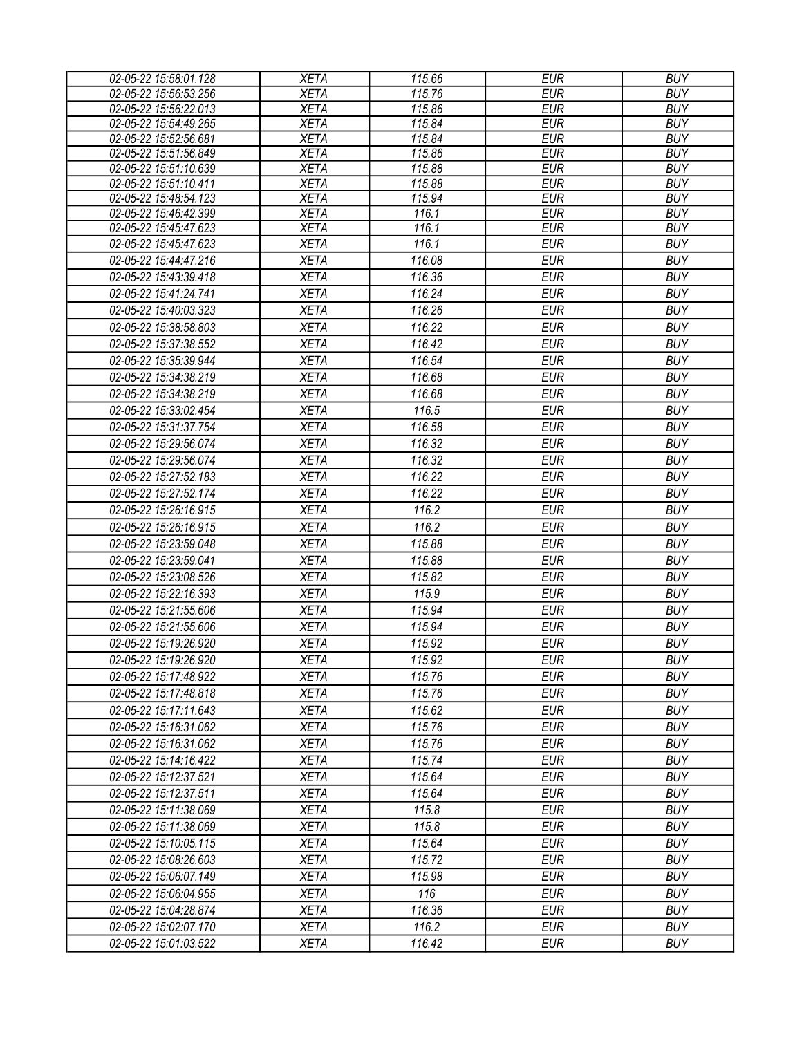| 02-05-22 15:58:01.128 | <b>XETA</b> | 115.66 | <b>EUR</b> | <b>BUY</b> |
|-----------------------|-------------|--------|------------|------------|
| 02-05-22 15:56:53.256 | <b>XETA</b> | 115.76 | <b>EUR</b> | <b>BUY</b> |
| 02-05-22 15:56:22.013 | <b>XETA</b> | 115.86 | <b>EUR</b> | <b>BUY</b> |
| 02-05-22 15:54:49.265 | <b>XETA</b> | 115.84 | <b>EUR</b> | <b>BUY</b> |
| 02-05-22 15:52:56.681 | <b>XETA</b> | 115.84 | <b>EUR</b> | <b>BUY</b> |
| 02-05-22 15:51:56.849 | <b>XETA</b> | 115.86 | <b>EUR</b> | <b>BUY</b> |
| 02-05-22 15:51:10.639 | <b>XETA</b> | 115.88 | <b>EUR</b> | <b>BUY</b> |
| 02-05-22 15:51:10.411 | <b>XETA</b> | 115.88 | <b>EUR</b> | <b>BUY</b> |
| 02-05-22 15:48:54.123 | <b>XETA</b> | 115.94 | <b>EUR</b> | <b>BUY</b> |
| 02-05-22 15:46:42.399 | <b>XETA</b> | 116.1  | <b>EUR</b> | <b>BUY</b> |
| 02-05-22 15:45:47.623 | <b>XETA</b> | 116.1  | <b>EUR</b> | <b>BUY</b> |
| 02-05-22 15:45:47.623 | <b>XETA</b> | 116.1  | <b>EUR</b> | <b>BUY</b> |
| 02-05-22 15:44:47.216 | <b>XETA</b> | 116.08 | <b>EUR</b> | <b>BUY</b> |
| 02-05-22 15:43:39.418 | <b>XETA</b> | 116.36 | <b>EUR</b> | <b>BUY</b> |
| 02-05-22 15:41:24.741 | <b>XETA</b> | 116.24 | <b>EUR</b> | <b>BUY</b> |
| 02-05-22 15:40:03.323 | <b>XETA</b> | 116.26 | <b>EUR</b> | <b>BUY</b> |
| 02-05-22 15:38:58.803 | <b>XETA</b> | 116.22 | <b>EUR</b> | <b>BUY</b> |
| 02-05-22 15:37:38.552 | <b>XETA</b> | 116.42 | <b>EUR</b> | <b>BUY</b> |
| 02-05-22 15:35:39.944 | <b>XETA</b> | 116.54 | <b>EUR</b> | <b>BUY</b> |
| 02-05-22 15:34:38.219 | <b>XETA</b> | 116.68 | <b>EUR</b> | <b>BUY</b> |
| 02-05-22 15:34:38.219 | <b>XETA</b> | 116.68 | <b>EUR</b> | <b>BUY</b> |
| 02-05-22 15:33:02.454 | <b>XETA</b> | 116.5  | <b>EUR</b> | <b>BUY</b> |
| 02-05-22 15:31:37.754 | <b>XETA</b> | 116.58 | <b>EUR</b> | <b>BUY</b> |
| 02-05-22 15:29:56.074 | <b>XETA</b> | 116.32 | <b>EUR</b> | <b>BUY</b> |
| 02-05-22 15:29:56.074 | <b>XETA</b> | 116.32 | <b>EUR</b> | <b>BUY</b> |
| 02-05-22 15:27:52.183 | <b>XETA</b> | 116.22 | <b>EUR</b> | <b>BUY</b> |
| 02-05-22 15:27:52.174 | <b>XETA</b> | 116.22 | <b>EUR</b> | <b>BUY</b> |
| 02-05-22 15:26:16.915 | <b>XETA</b> | 116.2  | <b>EUR</b> | <b>BUY</b> |
|                       |             |        |            |            |
| 02-05-22 15:26:16.915 | <b>XETA</b> | 116.2  | <b>EUR</b> | <b>BUY</b> |
| 02-05-22 15:23:59.048 | <b>XETA</b> | 115.88 | <b>EUR</b> | <b>BUY</b> |
| 02-05-22 15:23:59.041 | <b>XETA</b> | 115.88 | <b>EUR</b> | <b>BUY</b> |
| 02-05-22 15:23:08.526 | <b>XETA</b> | 115.82 | <b>EUR</b> | <b>BUY</b> |
| 02-05-22 15:22:16.393 | <b>XETA</b> | 115.9  | <b>EUR</b> | <b>BUY</b> |
| 02-05-22 15:21:55.606 | <b>XETA</b> | 115.94 | <b>EUR</b> | <b>BUY</b> |
| 02-05-22 15:21:55.606 | <b>XETA</b> | 115.94 | <b>EUR</b> | <b>BUY</b> |
| 02-05-22 15:19:26.920 | <b>XETA</b> | 115.92 | <b>EUR</b> | <b>BUY</b> |
| 02-05-22 15:19:26.920 | <b>XETA</b> | 115.92 | <b>EUR</b> | <b>BUY</b> |
| 02-05-22 15:17:48.922 | <b>XETA</b> | 115.76 | <b>EUR</b> | <b>BUY</b> |
| 02-05-22 15:17:48.818 | <b>XETA</b> | 115.76 | <b>EUR</b> | <b>BUY</b> |
| 02-05-22 15:17:11.643 | <b>XETA</b> | 115.62 | <b>EUR</b> | <b>BUY</b> |
| 02-05-22 15:16:31.062 | <b>XETA</b> | 115.76 | <b>EUR</b> | <b>BUY</b> |
| 02-05-22 15:16:31.062 | <b>XETA</b> | 115.76 | <b>EUR</b> | <b>BUY</b> |
| 02-05-22 15:14:16.422 | <b>XETA</b> | 115.74 | <b>EUR</b> | <b>BUY</b> |
| 02-05-22 15:12:37.521 | <b>XETA</b> | 115.64 | <b>EUR</b> | <b>BUY</b> |
| 02-05-22 15:12:37.511 | <b>XETA</b> | 115.64 | <b>EUR</b> | <b>BUY</b> |
| 02-05-22 15:11:38.069 | <b>XETA</b> | 115.8  | <b>EUR</b> | <b>BUY</b> |
| 02-05-22 15:11:38.069 | XETA        | 115.8  | <b>EUR</b> | <b>BUY</b> |
| 02-05-22 15:10:05.115 | <b>XETA</b> | 115.64 | <b>EUR</b> | <b>BUY</b> |
| 02-05-22 15:08:26.603 | <b>XETA</b> | 115.72 | <b>EUR</b> | <b>BUY</b> |
| 02-05-22 15:06:07.149 | <b>XETA</b> | 115.98 | <b>EUR</b> | <b>BUY</b> |
| 02-05-22 15:06:04.955 | <b>XETA</b> | 116    | <b>EUR</b> | <b>BUY</b> |
| 02-05-22 15:04:28.874 | <b>XETA</b> | 116.36 | <b>EUR</b> | <b>BUY</b> |
| 02-05-22 15:02:07.170 | <b>XETA</b> | 116.2  | <b>EUR</b> | <b>BUY</b> |
| 02-05-22 15:01:03.522 | <b>XETA</b> | 116.42 | <b>EUR</b> | <b>BUY</b> |
|                       |             |        |            |            |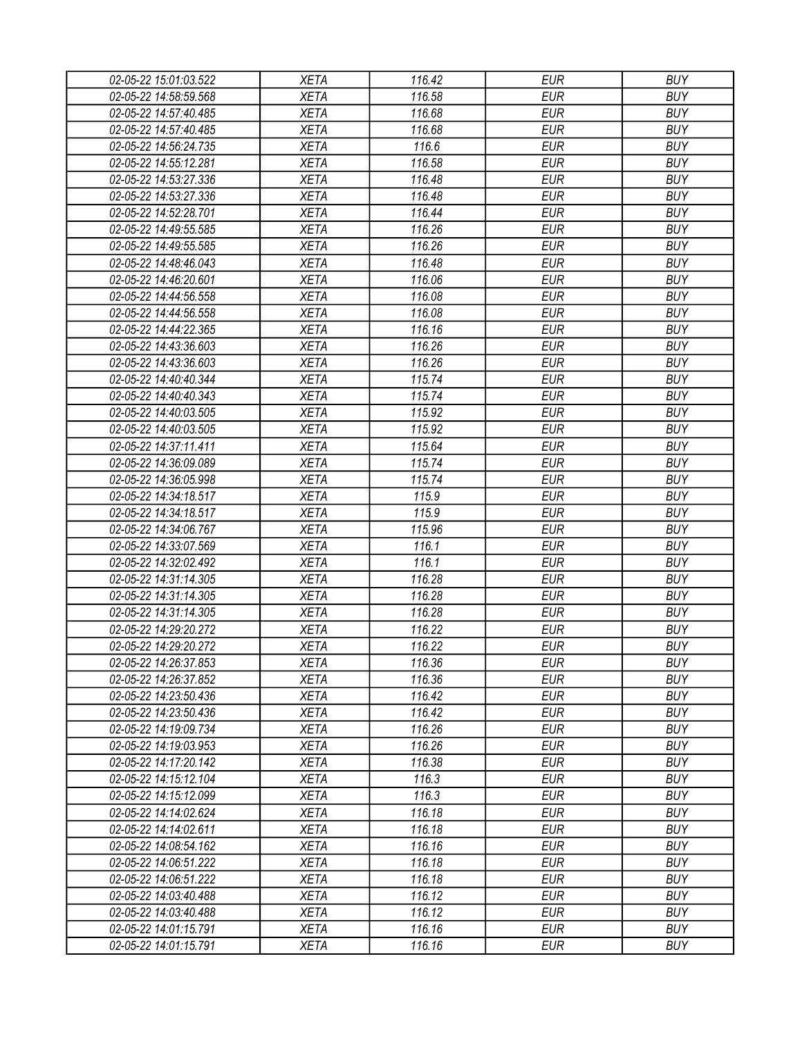| 02-05-22 15:01:03.522 | <b>XETA</b> | 116.42 | <b>EUR</b> | <b>BUY</b> |
|-----------------------|-------------|--------|------------|------------|
| 02-05-22 14:58:59.568 | <b>XETA</b> | 116.58 | <b>EUR</b> | <b>BUY</b> |
| 02-05-22 14:57:40.485 | <b>XETA</b> | 116.68 | <b>EUR</b> | <b>BUY</b> |
| 02-05-22 14:57:40.485 | <b>XETA</b> | 116.68 | <b>EUR</b> | <b>BUY</b> |
| 02-05-22 14:56:24.735 | <b>XETA</b> | 116.6  | <b>EUR</b> | <b>BUY</b> |
| 02-05-22 14:55:12.281 | <b>XETA</b> | 116.58 | <b>EUR</b> | <b>BUY</b> |
| 02-05-22 14:53:27.336 | <b>XETA</b> | 116.48 | <b>EUR</b> | <b>BUY</b> |
| 02-05-22 14:53:27.336 | <b>XETA</b> | 116.48 | <b>EUR</b> | <b>BUY</b> |
| 02-05-22 14:52:28.701 | <b>XETA</b> | 116.44 | <b>EUR</b> | <b>BUY</b> |
| 02-05-22 14:49:55.585 | <b>XETA</b> | 116.26 | <b>EUR</b> | <b>BUY</b> |
| 02-05-22 14:49:55.585 | <b>XETA</b> | 116.26 | <b>EUR</b> | <b>BUY</b> |
| 02-05-22 14:48:46.043 | <b>XETA</b> | 116.48 | <b>EUR</b> | <b>BUY</b> |
| 02-05-22 14:46:20.601 | <b>XETA</b> | 116.06 | <b>EUR</b> | <b>BUY</b> |
| 02-05-22 14:44:56.558 | <b>XETA</b> | 116.08 | <b>EUR</b> | <b>BUY</b> |
| 02-05-22 14:44:56.558 | <b>XETA</b> | 116.08 | <b>EUR</b> | <b>BUY</b> |
| 02-05-22 14:44:22.365 | <b>XETA</b> | 116.16 | <b>EUR</b> | <b>BUY</b> |
| 02-05-22 14:43:36.603 | <b>XETA</b> | 116.26 | <b>EUR</b> | <b>BUY</b> |
| 02-05-22 14:43:36.603 | <b>XETA</b> | 116.26 | <b>EUR</b> | <b>BUY</b> |
| 02-05-22 14:40:40.344 | <b>XETA</b> | 115.74 | <b>EUR</b> | <b>BUY</b> |
| 02-05-22 14:40:40.343 | <b>XETA</b> | 115.74 | <b>EUR</b> | <b>BUY</b> |
|                       | <b>XETA</b> | 115.92 | <b>EUR</b> | <b>BUY</b> |
| 02-05-22 14:40:03.505 | <b>XETA</b> |        |            |            |
| 02-05-22 14:40:03.505 |             | 115.92 | <b>EUR</b> | <b>BUY</b> |
| 02-05-22 14:37:11.411 | <b>XETA</b> | 115.64 | <b>EUR</b> | <b>BUY</b> |
| 02-05-22 14:36:09.089 | <b>XETA</b> | 115.74 | <b>EUR</b> | <b>BUY</b> |
| 02-05-22 14:36:05.998 | <b>XETA</b> | 115.74 | <b>EUR</b> | <b>BUY</b> |
| 02-05-22 14:34:18.517 | <b>XETA</b> | 115.9  | <b>EUR</b> | <b>BUY</b> |
| 02-05-22 14:34:18.517 | <b>XETA</b> | 115.9  | <b>EUR</b> | <b>BUY</b> |
| 02-05-22 14:34:06.767 | <b>XETA</b> | 115.96 | <b>EUR</b> | <b>BUY</b> |
| 02-05-22 14:33:07.569 | <b>XETA</b> | 116.1  | <b>EUR</b> | <b>BUY</b> |
| 02-05-22 14:32:02.492 | <b>XETA</b> | 116.1  | <b>EUR</b> | <b>BUY</b> |
| 02-05-22 14:31:14.305 | <b>XETA</b> | 116.28 | <b>EUR</b> | <b>BUY</b> |
| 02-05-22 14:31:14.305 | <b>XETA</b> | 116.28 | <b>EUR</b> | <b>BUY</b> |
| 02-05-22 14:31:14.305 | <b>XETA</b> | 116.28 | <b>EUR</b> | <b>BUY</b> |
| 02-05-22 14:29:20.272 | <b>XETA</b> | 116.22 | <b>EUR</b> | <b>BUY</b> |
| 02-05-22 14:29:20.272 | <b>XETA</b> | 116.22 | <b>EUR</b> | <b>BUY</b> |
| 02-05-22 14:26:37.853 | <b>XETA</b> | 116.36 | <b>EUR</b> | <b>BUY</b> |
| 02-05-22 14:26:37.852 | <b>XETA</b> | 116.36 | <b>EUR</b> | <b>BUY</b> |
| 02-05-22 14:23:50.436 | <b>XETA</b> | 116.42 | <b>EUR</b> | <b>BUY</b> |
| 02-05-22 14:23:50.436 | <b>XETA</b> | 116.42 | <b>EUR</b> | <b>BUY</b> |
| 02-05-22 14:19:09.734 | <b>XETA</b> | 116.26 | <b>EUR</b> | <b>BUY</b> |
| 02-05-22 14:19:03.953 | <b>XETA</b> | 116.26 | <b>EUR</b> | <b>BUY</b> |
| 02-05-22 14:17:20.142 | <b>XETA</b> | 116.38 | <b>EUR</b> | <b>BUY</b> |
| 02-05-22 14:15:12.104 | <b>XETA</b> | 116.3  | <b>EUR</b> | <b>BUY</b> |
| 02-05-22 14:15:12.099 | <b>XETA</b> | 116.3  | <b>EUR</b> | <b>BUY</b> |
| 02-05-22 14:14:02.624 | <b>XETA</b> | 116.18 | <b>EUR</b> | <b>BUY</b> |
| 02-05-22 14:14:02.611 | <b>XETA</b> | 116.18 | <b>EUR</b> | <b>BUY</b> |
| 02-05-22 14:08:54.162 | <b>XETA</b> | 116.16 | <b>EUR</b> | <b>BUY</b> |
| 02-05-22 14:06:51.222 | XETA        | 116.18 | <b>EUR</b> | <b>BUY</b> |
| 02-05-22 14:06:51.222 | <b>XETA</b> | 116.18 | <b>EUR</b> | <b>BUY</b> |
| 02-05-22 14:03:40.488 | <b>XETA</b> | 116.12 | <b>EUR</b> | <b>BUY</b> |
| 02-05-22 14:03:40.488 | <b>XETA</b> | 116.12 | <b>EUR</b> | <b>BUY</b> |
| 02-05-22 14:01:15.791 | XETA        | 116.16 | <b>EUR</b> | <b>BUY</b> |
|                       |             |        |            |            |
| 02-05-22 14:01:15.791 | XETA        | 116.16 | <b>EUR</b> | <b>BUY</b> |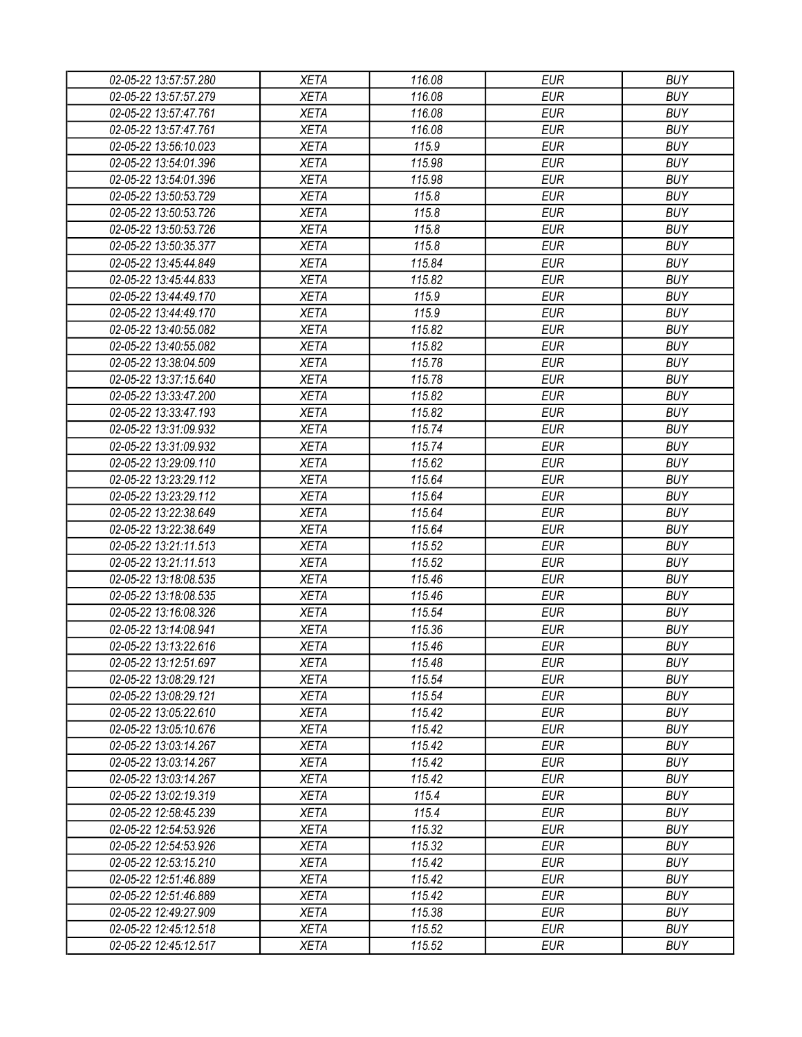| 02-05-22 13:57:57.280                          | <b>XETA</b> | 116.08 | <b>EUR</b>               | <b>BUY</b>               |
|------------------------------------------------|-------------|--------|--------------------------|--------------------------|
| 02-05-22 13:57:57.279                          | <b>XETA</b> | 116.08 | <b>EUR</b>               | <b>BUY</b>               |
| 02-05-22 13:57:47.761                          | <b>XETA</b> | 116.08 | <b>EUR</b>               | <b>BUY</b>               |
| 02-05-22 13:57:47.761                          | <b>XETA</b> | 116.08 | <b>EUR</b>               | <b>BUY</b>               |
| 02-05-22 13:56:10.023                          | <b>XETA</b> | 115.9  | <b>EUR</b>               | <b>BUY</b>               |
| 02-05-22 13:54:01.396                          | <b>XETA</b> | 115.98 | <b>EUR</b>               | <b>BUY</b>               |
| 02-05-22 13:54:01.396                          | <b>XETA</b> | 115.98 | <b>EUR</b>               | <b>BUY</b>               |
| 02-05-22 13:50:53.729                          | <b>XETA</b> | 115.8  | <b>EUR</b>               | <b>BUY</b>               |
| 02-05-22 13:50:53.726                          | <b>XETA</b> | 115.8  | <b>EUR</b>               | <b>BUY</b>               |
| 02-05-22 13:50:53.726                          | <b>XETA</b> | 115.8  | <b>EUR</b>               | <b>BUY</b>               |
| 02-05-22 13:50:35.377                          | <b>XETA</b> | 115.8  | <b>EUR</b>               | <b>BUY</b>               |
| 02-05-22 13:45:44.849                          | <b>XETA</b> | 115.84 | <b>EUR</b>               | <b>BUY</b>               |
| 02-05-22 13:45:44.833                          | <b>XETA</b> | 115.82 | <b>EUR</b>               | <b>BUY</b>               |
| 02-05-22 13:44:49.170                          | <b>XETA</b> | 115.9  | <b>EUR</b>               | <b>BUY</b>               |
| 02-05-22 13:44:49.170                          | <b>XETA</b> | 115.9  | <b>EUR</b>               | <b>BUY</b>               |
| 02-05-22 13:40:55.082                          | <b>XETA</b> | 115.82 | <b>EUR</b>               | <b>BUY</b>               |
| 02-05-22 13:40:55.082                          | <b>XETA</b> | 115.82 | <b>EUR</b>               | <b>BUY</b>               |
| 02-05-22 13:38:04.509                          | <b>XETA</b> | 115.78 | <b>EUR</b>               | <b>BUY</b>               |
| 02-05-22 13:37:15.640                          | <b>XETA</b> | 115.78 | <b>EUR</b>               | <b>BUY</b>               |
| 02-05-22 13:33:47.200                          | <b>XETA</b> | 115.82 | <b>EUR</b>               | <b>BUY</b>               |
| 02-05-22 13:33:47.193                          | <b>XETA</b> | 115.82 | <b>EUR</b>               | <b>BUY</b>               |
| 02-05-22 13:31:09.932                          | <b>XETA</b> | 115.74 | <b>EUR</b>               | <b>BUY</b>               |
| 02-05-22 13:31:09.932                          | <b>XETA</b> | 115.74 | <b>EUR</b>               | <b>BUY</b>               |
| 02-05-22 13:29:09.110                          | <b>XETA</b> | 115.62 | <b>EUR</b>               | <b>BUY</b>               |
| 02-05-22 13:23:29.112                          | <b>XETA</b> | 115.64 | <b>EUR</b>               | <b>BUY</b>               |
| 02-05-22 13:23:29.112                          | <b>XETA</b> | 115.64 | <b>EUR</b>               | <b>BUY</b>               |
| 02-05-22 13:22:38.649                          | <b>XETA</b> | 115.64 | <b>EUR</b>               | <b>BUY</b>               |
| 02-05-22 13:22:38.649                          | <b>XETA</b> | 115.64 | <b>EUR</b>               | <b>BUY</b>               |
| 02-05-22 13:21:11.513                          | <b>XETA</b> | 115.52 | <b>EUR</b>               | <b>BUY</b>               |
| 02-05-22 13:21:11.513                          | <b>XETA</b> | 115.52 | <b>EUR</b>               | <b>BUY</b>               |
| 02-05-22 13:18:08.535                          | <b>XETA</b> | 115.46 | <b>EUR</b>               | <b>BUY</b>               |
| 02-05-22 13:18:08.535                          | <b>XETA</b> | 115.46 | <b>EUR</b>               | <b>BUY</b>               |
| 02-05-22 13:16:08.326                          | <b>XETA</b> | 115.54 | <b>EUR</b>               | <b>BUY</b>               |
| 02-05-22 13:14:08.941                          | <b>XETA</b> | 115.36 | <b>EUR</b>               | <b>BUY</b>               |
| 02-05-22 13:13:22.616                          | <b>XETA</b> | 115.46 | <b>EUR</b>               | <b>BUY</b>               |
| 02-05-22 13:12:51.697                          |             | 115.48 | <b>EUR</b>               | <b>BUY</b>               |
|                                                | <b>XETA</b> | 115.54 | <b>EUR</b>               | <b>BUY</b>               |
| 02-05-22 13:08:29.121                          | <b>XETA</b> |        | <b>EUR</b>               | <b>BUY</b>               |
| 02-05-22 13:08:29.121                          | <b>XETA</b> | 115.54 |                          |                          |
| 02-05-22 13:05:22.610<br>02-05-22 13:05:10.676 | <b>XETA</b> | 115.42 | <b>EUR</b><br><b>EUR</b> | <b>BUY</b><br><b>BUY</b> |
|                                                | <b>XETA</b> | 115.42 |                          |                          |
| 02-05-22 13:03:14.267                          | <b>XETA</b> | 115.42 | <b>EUR</b>               | <b>BUY</b>               |
| 02-05-22 13:03:14.267                          | <b>XETA</b> | 115.42 | <b>EUR</b>               | <b>BUY</b>               |
| 02-05-22 13:03:14.267                          | <b>XETA</b> | 115.42 | <b>EUR</b>               | <b>BUY</b>               |
| 02-05-22 13:02:19.319                          | <b>XETA</b> | 115.4  | <b>EUR</b>               | <b>BUY</b>               |
| 02-05-22 12:58:45.239                          | <b>XETA</b> | 115.4  | <b>EUR</b>               | <b>BUY</b>               |
| 02-05-22 12:54:53.926                          | <b>XETA</b> | 115.32 | <b>EUR</b>               | <b>BUY</b>               |
| 02-05-22 12:54:53.926                          | <b>XETA</b> | 115.32 | <b>EUR</b>               | <b>BUY</b>               |
| 02-05-22 12:53:15.210                          | XETA        | 115.42 | <b>EUR</b>               | <b>BUY</b>               |
| 02-05-22 12:51:46.889                          | <b>XETA</b> | 115.42 | <b>EUR</b>               | <b>BUY</b>               |
| 02-05-22 12:51:46.889                          | <b>XETA</b> | 115.42 | <b>EUR</b>               | <b>BUY</b>               |
| 02-05-22 12:49:27.909                          | <b>XETA</b> | 115.38 | <b>EUR</b>               | <b>BUY</b>               |
| 02-05-22 12:45:12.518                          | XETA        | 115.52 | <b>EUR</b>               | <b>BUY</b>               |
| 02-05-22 12:45:12.517                          | XETA        | 115.52 | <b>EUR</b>               | <b>BUY</b>               |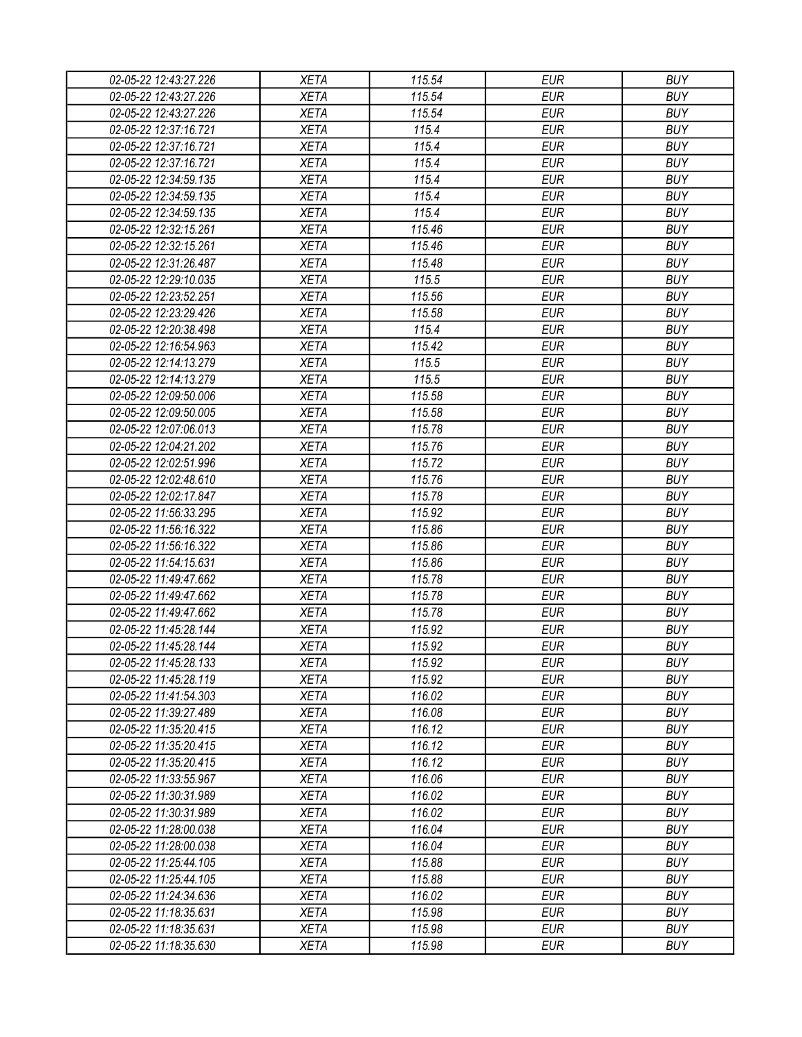| 02-05-22 12:43:27.226                          | <b>XETA</b> | 115.54 | <b>EUR</b>               | <b>BUY</b> |
|------------------------------------------------|-------------|--------|--------------------------|------------|
| 02-05-22 12:43:27.226                          | <b>XETA</b> | 115.54 | <b>EUR</b>               | <b>BUY</b> |
| 02-05-22 12:43:27.226                          | <b>XETA</b> | 115.54 | <b>EUR</b>               | <b>BUY</b> |
| 02-05-22 12:37:16.721                          | <b>XETA</b> | 115.4  | <b>EUR</b>               | <b>BUY</b> |
| 02-05-22 12:37:16.721                          | <b>XETA</b> | 115.4  | <b>EUR</b>               | <b>BUY</b> |
| 02-05-22 12:37:16.721                          | <b>XETA</b> | 115.4  | <b>EUR</b>               | <b>BUY</b> |
| 02-05-22 12:34:59.135                          | <b>XETA</b> | 115.4  | <b>EUR</b>               | <b>BUY</b> |
| 02-05-22 12:34:59.135                          | <b>XETA</b> | 115.4  | <b>EUR</b>               | <b>BUY</b> |
| 02-05-22 12:34:59.135                          | <b>XETA</b> | 115.4  | <b>EUR</b>               | <b>BUY</b> |
| 02-05-22 12:32:15.261                          | <b>XETA</b> | 115.46 | <b>EUR</b>               | <b>BUY</b> |
| 02-05-22 12:32:15.261                          | <b>XETA</b> | 115.46 | <b>EUR</b>               | <b>BUY</b> |
| 02-05-22 12:31:26.487                          | <b>XETA</b> | 115.48 | <b>EUR</b>               | <b>BUY</b> |
| 02-05-22 12:29:10.035                          | <b>XETA</b> | 115.5  | <b>EUR</b>               | <b>BUY</b> |
| 02-05-22 12:23:52.251                          | <b>XETA</b> | 115.56 | <b>EUR</b>               | <b>BUY</b> |
| 02-05-22 12:23:29.426                          | <b>XETA</b> | 115.58 | <b>EUR</b>               | <b>BUY</b> |
| 02-05-22 12:20:38.498                          | <b>XETA</b> | 115.4  | <b>EUR</b>               | <b>BUY</b> |
| 02-05-22 12:16:54.963                          | <b>XETA</b> | 115.42 | <b>EUR</b>               | <b>BUY</b> |
| 02-05-22 12:14:13.279                          | <b>XETA</b> | 115.5  | <b>EUR</b>               | <b>BUY</b> |
| 02-05-22 12:14:13.279                          | <b>XETA</b> | 115.5  | <b>EUR</b>               | <b>BUY</b> |
| 02-05-22 12:09:50.006                          | <b>XETA</b> | 115.58 | <b>EUR</b>               | <b>BUY</b> |
| 02-05-22 12:09:50.005                          | <b>XETA</b> | 115.58 | <b>EUR</b>               | <b>BUY</b> |
| 02-05-22 12:07:06.013                          | <b>XETA</b> | 115.78 | <b>EUR</b>               | <b>BUY</b> |
| 02-05-22 12:04:21.202                          | <b>XETA</b> | 115.76 | <b>EUR</b>               | <b>BUY</b> |
| 02-05-22 12:02:51.996                          | <b>XETA</b> | 115.72 | <b>EUR</b>               | <b>BUY</b> |
| 02-05-22 12:02:48.610                          | <b>XETA</b> | 115.76 | <b>EUR</b>               | <b>BUY</b> |
| 02-05-22 12:02:17.847                          | <b>XETA</b> | 115.78 | <b>EUR</b>               | <b>BUY</b> |
| 02-05-22 11:56:33.295                          | <b>XETA</b> | 115.92 | <b>EUR</b>               | <b>BUY</b> |
| 02-05-22 11:56:16.322                          | <b>XETA</b> | 115.86 | <b>EUR</b>               | <b>BUY</b> |
| 02-05-22 11:56:16.322                          | <b>XETA</b> | 115.86 | <b>EUR</b>               | <b>BUY</b> |
| 02-05-22 11:54:15.631                          | <b>XETA</b> | 115.86 | <b>EUR</b>               | <b>BUY</b> |
| 02-05-22 11:49:47.662                          | <b>XETA</b> | 115.78 | <b>EUR</b>               | <b>BUY</b> |
| 02-05-22 11:49:47.662                          | <b>XETA</b> | 115.78 | <b>EUR</b>               | <b>BUY</b> |
| 02-05-22 11:49:47.662                          | <b>XETA</b> | 115.78 | <b>EUR</b>               | <b>BUY</b> |
| 02-05-22 11:45:28.144                          | <b>XETA</b> | 115.92 | <b>EUR</b>               | <b>BUY</b> |
| 02-05-22 11:45:28.144                          | <b>XETA</b> | 115.92 | <b>EUR</b>               | <b>BUY</b> |
| 02-05-22 11:45:28.133                          | <b>XETA</b> | 115.92 | <b>EUR</b>               | <b>BUY</b> |
| 02-05-22 11:45:28.119                          | <b>XETA</b> | 115.92 | <b>EUR</b>               | <b>BUY</b> |
| 02-05-22 11:41:54.303                          | <b>XETA</b> | 116.02 | <b>EUR</b>               | <b>BUY</b> |
| 02-05-22 11:39:27.489                          | <b>XETA</b> | 116.08 | <b>EUR</b>               | <b>BUY</b> |
| 02-05-22 11:35:20.415                          | <b>XETA</b> | 116.12 | <b>EUR</b>               | <b>BUY</b> |
|                                                |             | 116.12 | <b>EUR</b>               | <b>BUY</b> |
| 02-05-22 11:35:20.415                          | <b>XETA</b> |        |                          | <b>BUY</b> |
| 02-05-22 11:35:20.415<br>02-05-22 11:33:55.967 | <b>XETA</b> | 116.12 | <b>EUR</b><br><b>EUR</b> | <b>BUY</b> |
|                                                | <b>XETA</b> | 116.06 |                          |            |
| 02-05-22 11:30:31.989                          | <b>XETA</b> | 116.02 | <b>EUR</b>               | <b>BUY</b> |
| 02-05-22 11:30:31.989                          | <b>XETA</b> | 116.02 | <b>EUR</b>               | <b>BUY</b> |
| 02-05-22 11:28:00.038                          | <b>XETA</b> | 116.04 | <b>EUR</b>               | <b>BUY</b> |
| 02-05-22 11:28:00.038                          | <b>XETA</b> | 116.04 | <b>EUR</b>               | <b>BUY</b> |
| 02-05-22 11:25:44.105                          | <b>XETA</b> | 115.88 | <b>EUR</b>               | <b>BUY</b> |
| 02-05-22 11:25:44.105                          | <b>XETA</b> | 115.88 | <b>EUR</b>               | <b>BUY</b> |
| 02-05-22 11:24:34.636                          | <b>XETA</b> | 116.02 | <b>EUR</b>               | <b>BUY</b> |
| 02-05-22 11:18:35.631                          | <b>XETA</b> | 115.98 | <b>EUR</b>               | <b>BUY</b> |
| 02-05-22 11:18:35.631                          | XETA        | 115.98 | <b>EUR</b>               | <b>BUY</b> |
| 02-05-22 11:18:35.630                          | XETA        | 115.98 | <b>EUR</b>               | <b>BUY</b> |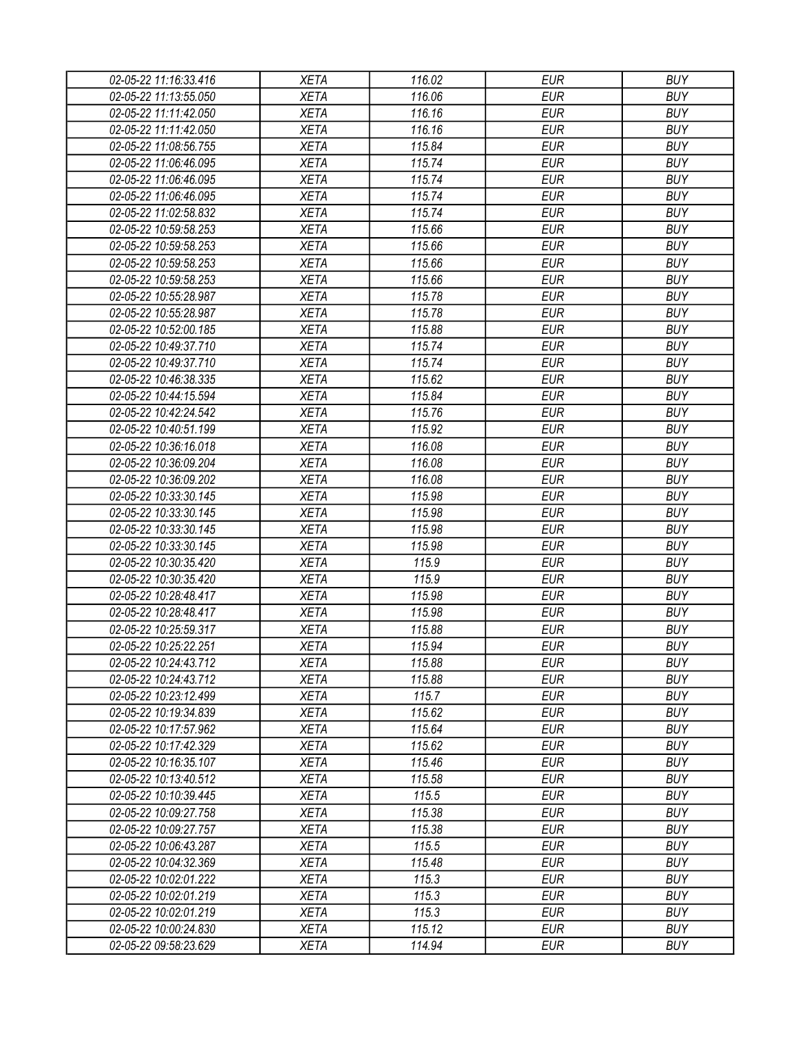| 02-05-22 11:16:33.416                          | <b>XETA</b>                | 116.02          | <b>EUR</b>               | <b>BUY</b> |
|------------------------------------------------|----------------------------|-----------------|--------------------------|------------|
| 02-05-22 11:13:55.050                          | <b>XETA</b>                | 116.06          | <b>EUR</b>               | <b>BUY</b> |
| 02-05-22 11:11:42.050                          | <b>XETA</b>                | 116.16          | <b>EUR</b>               | <b>BUY</b> |
| 02-05-22 11:11:42.050                          | <b>XETA</b>                | 116.16          | <b>EUR</b>               | <b>BUY</b> |
| 02-05-22 11:08:56.755                          | <b>XETA</b>                | 115.84          | <b>EUR</b>               | <b>BUY</b> |
| 02-05-22 11:06:46.095                          | <b>XETA</b>                | 115.74          | <b>EUR</b>               | <b>BUY</b> |
| 02-05-22 11:06:46.095                          | <b>XETA</b>                | 115.74          | <b>EUR</b>               | <b>BUY</b> |
| 02-05-22 11:06:46.095                          | <b>XETA</b>                | 115.74          | <b>EUR</b>               | <b>BUY</b> |
| 02-05-22 11:02:58.832                          | <b>XETA</b>                | 115.74          | <b>EUR</b>               | <b>BUY</b> |
| 02-05-22 10:59:58.253                          | <b>XETA</b>                | 115.66          | <b>EUR</b>               | <b>BUY</b> |
| 02-05-22 10:59:58.253                          | <b>XETA</b>                | 115.66          | <b>EUR</b>               | <b>BUY</b> |
| 02-05-22 10:59:58.253                          | <b>XETA</b>                | 115.66          | <b>EUR</b>               | <b>BUY</b> |
| 02-05-22 10:59:58.253                          | <b>XETA</b>                | 115.66          | <b>EUR</b>               | <b>BUY</b> |
| 02-05-22 10:55:28.987                          | <b>XETA</b>                | 115.78          | <b>EUR</b>               | <b>BUY</b> |
| 02-05-22 10:55:28.987                          | <b>XETA</b>                | 115.78          | <b>EUR</b>               | <b>BUY</b> |
| 02-05-22 10:52:00.185                          | <b>XETA</b>                | 115.88          | <b>EUR</b>               | <b>BUY</b> |
| 02-05-22 10:49:37.710                          | <b>XETA</b>                | 115.74          | <b>EUR</b>               | <b>BUY</b> |
| 02-05-22 10:49:37.710                          | <b>XETA</b>                | 115.74          | <b>EUR</b>               | <b>BUY</b> |
| 02-05-22 10:46:38.335                          | <b>XETA</b>                | 115.62          | <b>EUR</b>               | <b>BUY</b> |
| 02-05-22 10:44:15.594                          | <b>XETA</b>                | 115.84          | <b>EUR</b>               | <b>BUY</b> |
| 02-05-22 10:42:24.542                          | <b>XETA</b>                | 115.76          | <b>EUR</b>               | <b>BUY</b> |
| 02-05-22 10:40:51.199                          | <b>XETA</b>                | 115.92          | <b>EUR</b>               | <b>BUY</b> |
| 02-05-22 10:36:16.018                          | <b>XETA</b>                | 116.08          | <b>EUR</b>               | <b>BUY</b> |
| 02-05-22 10:36:09.204                          | <b>XETA</b>                | 116.08          | <b>EUR</b>               | <b>BUY</b> |
| 02-05-22 10:36:09.202                          | <b>XETA</b>                | 116.08          | <b>EUR</b>               | <b>BUY</b> |
| 02-05-22 10:33:30.145                          | <b>XETA</b>                | 115.98          | <b>EUR</b>               | <b>BUY</b> |
| 02-05-22 10:33:30.145                          | <b>XETA</b>                | 115.98          | <b>EUR</b>               | <b>BUY</b> |
| 02-05-22 10:33:30.145                          | <b>XETA</b>                | 115.98          | <b>EUR</b>               | <b>BUY</b> |
| 02-05-22 10:33:30.145                          | <b>XETA</b>                | 115.98          | <b>EUR</b>               | <b>BUY</b> |
| 02-05-22 10:30:35.420                          | <b>XETA</b>                | 115.9           | <b>EUR</b>               | <b>BUY</b> |
| 02-05-22 10:30:35.420                          | <b>XETA</b>                | 115.9           | <b>EUR</b>               | <b>BUY</b> |
| 02-05-22 10:28:48.417                          | <b>XETA</b>                | 115.98          | <b>EUR</b>               | <b>BUY</b> |
| 02-05-22 10:28:48.417                          | <b>XETA</b>                | 115.98          | <b>EUR</b>               | <b>BUY</b> |
| 02-05-22 10:25:59.317                          | <b>XETA</b>                | 115.88          | <b>EUR</b>               | <b>BUY</b> |
| 02-05-22 10:25:22.251                          | <b>XETA</b>                | 115.94          | <b>EUR</b>               | <b>BUY</b> |
| 02-05-22 10:24:43.712                          | <b>XETA</b>                | 115.88          | <b>EUR</b>               | <b>BUY</b> |
| 02-05-22 10:24:43.712                          | <b>XETA</b>                | 115.88          | <b>EUR</b>               | <b>BUY</b> |
| 02-05-22 10:23:12.499                          | <b>XETA</b>                | 115.7           | <b>EUR</b>               | <b>BUY</b> |
| 02-05-22 10:19:34.839                          | <b>XETA</b>                | 115.62          | <b>EUR</b>               | <b>BUY</b> |
| 02-05-22 10:17:57.962                          | <b>XETA</b>                | 115.64          | <b>EUR</b>               | <b>BUY</b> |
| 02-05-22 10:17:42.329                          | <b>XETA</b>                | 115.62          | <b>EUR</b>               | <b>BUY</b> |
|                                                |                            |                 |                          | <b>BUY</b> |
| 02-05-22 10:16:35.107<br>02-05-22 10:13:40.512 | <b>XETA</b><br><b>XETA</b> | 115.46          | <b>EUR</b>               | <b>BUY</b> |
| 02-05-22 10:10:39.445                          | <b>XETA</b>                | 115.58<br>115.5 | <b>EUR</b><br><b>EUR</b> | <b>BUY</b> |
|                                                |                            |                 |                          |            |
| 02-05-22 10:09:27.758                          | <b>XETA</b>                | 115.38          | <b>EUR</b>               | <b>BUY</b> |
| 02-05-22 10:09:27.757                          | <b>XETA</b>                | 115.38          | <b>EUR</b>               | <b>BUY</b> |
| 02-05-22 10:06:43.287                          | <b>XETA</b>                | 115.5           | <b>EUR</b>               | <b>BUY</b> |
| 02-05-22 10:04:32.369                          | XETA                       | 115.48          | <b>EUR</b>               | <b>BUY</b> |
| 02-05-22 10:02:01.222                          | <b>XETA</b>                | 115.3           | <b>EUR</b>               | <b>BUY</b> |
| 02-05-22 10:02:01.219                          | <b>XETA</b>                | 115.3           | <b>EUR</b>               | <b>BUY</b> |
| 02-05-22 10:02:01.219                          | <b>XETA</b>                | 115.3           | <b>EUR</b>               | <b>BUY</b> |
| 02-05-22 10:00:24.830                          | XETA                       | 115.12          | <b>EUR</b>               | <b>BUY</b> |
| 02-05-22 09:58:23.629                          | XETA                       | 114.94          | <b>EUR</b>               | <b>BUY</b> |